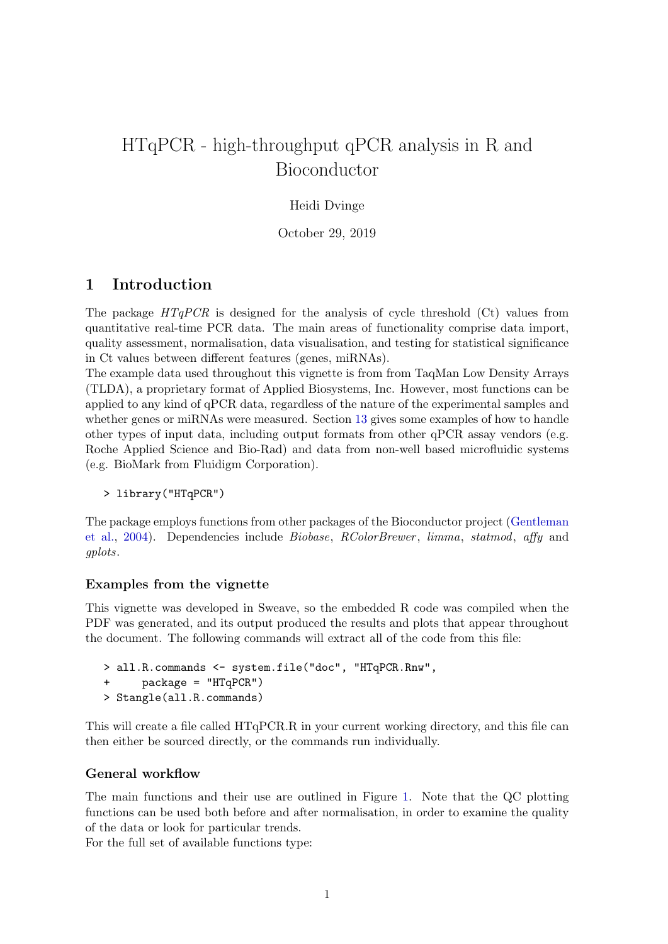# <span id="page-0-0"></span>HTqPCR - high-throughput qPCR analysis in R and Bioconductor

### Heidi Dvinge

October 29, 2019

## 1 Introduction

The package  $HTqPCR$  is designed for the analysis of cycle threshold (Ct) values from quantitative real-time PCR data. The main areas of functionality comprise data import, quality assessment, normalisation, data visualisation, and testing for statistical significance in Ct values between different features (genes, miRNAs).

The example data used throughout this vignette is from from TaqMan Low Density Arrays (TLDA), a proprietary format of Applied Biosystems, Inc. However, most functions can be applied to any kind of qPCR data, regardless of the nature of the experimental samples and whether genes or miRNAs were measured. Section [13](#page-34-0) gives some examples of how to handle other types of input data, including output formats from other qPCR assay vendors (e.g. Roche Applied Science and Bio-Rad) and data from non-well based microfluidic systems (e.g. BioMark from Fluidigm Corporation).

```
> library("HTqPCR")
```
The package employs functions from other packages of the Bioconductor project [\(Gentleman](#page-40-0) [et al.,](#page-40-0) [2004\)](#page-40-0). Dependencies include Biobase, RColorBrewer , limma, statmod, affy and gplots.

#### Examples from the vignette

This vignette was developed in Sweave, so the embedded R code was compiled when the PDF was generated, and its output produced the results and plots that appear throughout the document. The following commands will extract all of the code from this file:

```
> all.R.commands <- system.file("doc", "HTqPCR.Rnw",
+ package = "HTqPCR")
> Stangle(all.R.commands)
```
This will create a file called HTqPCR.R in your current working directory, and this file can then either be sourced directly, or the commands run individually.

#### General workflow

The main functions and their use are outlined in Figure [1.](#page-1-0) Note that the QC plotting functions can be used both before and after normalisation, in order to examine the quality of the data or look for particular trends.

For the full set of available functions type: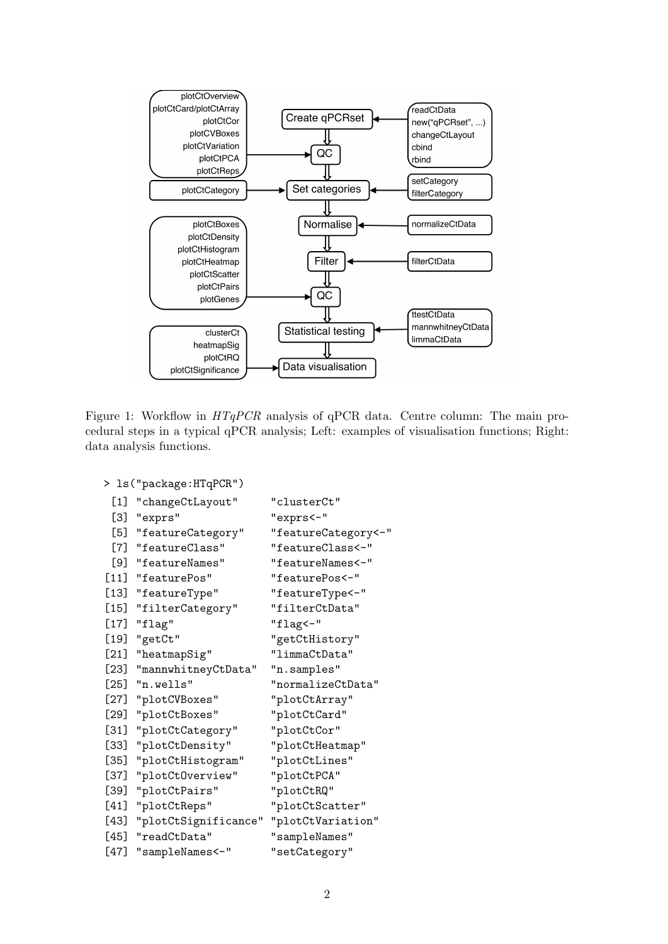

<span id="page-1-0"></span>Figure 1: Workflow in  $HTqPCR$  analysis of qPCR data. Centre column: The main procedural steps in a typical qPCR analysis; Left: examples of visualisation functions; Right: data analysis functions.

```
> ls("package:HTqPCR")
```

```
[1] "changeCtLayout" "clusterCt"
[3] "exprs" "exprs<-"
[5] "featureCategory" "featureCategory<-"
[7] "featureClass" "featureClass<-"
[9] "featureNames" "featureNames<-"
[11] "featurePos" "featurePos<-"
[13] "featureType" "featureType<-"
[15] "filterCategory" "filterCtData"
[17] "flag" "flag<-"
[19] "getCt" "getCtHistory"
[21] "heatmapSig" "limmaCtData"
[23] "mannwhitneyCtData" "n.samples"
[25] "n.wells" "normalizeCtData"
[27] "plotCVBoxes" "plotCtArray"
[29] "plotCtBoxes" "plotCtCard"
[31] "plotCtCategory" "plotCtCor"
[33] "plotCtDensity" "plotCtHeatmap"
[35] "plotCtHistogram" "plotCtLines"
[37] "plotCtOverview" "plotCtPCA"
[39] "plotCtPairs" "plotCtRQ"
[41] "plotCtReps" "plotCtScatter"
[43] "plotCtSignificance" "plotCtVariation"
[45] "readCtData" "sampleNames"
[47] "sampleNames<-" "setCategory"
```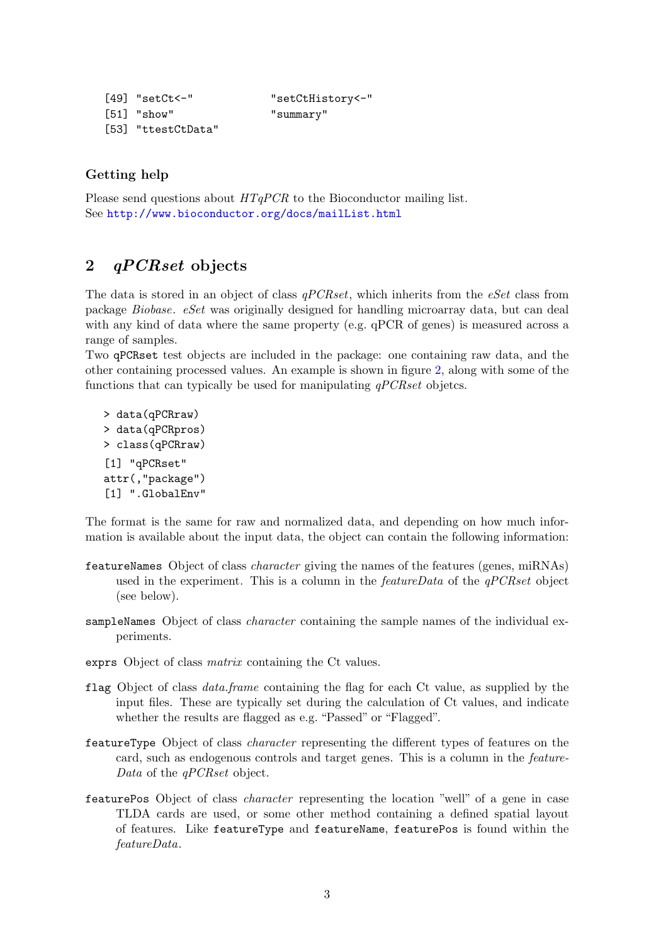```
[49] "setCt<-" "setCtHistory<-"
[51] "show" "summary"
[53] "ttestCtData"
```
### Getting help

Please send questions about  $HTqPCR$  to the Bioconductor mailing list. See <http://www.bioconductor.org/docs/mailList.html>

## 2 *qPCRset* objects

The data is stored in an object of class  $qPCRset$ , which inherits from the eSet class from package Biobase. eSet was originally designed for handling microarray data, but can deal with any kind of data where the same property (e.g. qPCR of genes) is measured across a range of samples.

Two qPCRset test objects are included in the package: one containing raw data, and the other containing processed values. An example is shown in figure [2,](#page-4-0) along with some of the functions that can typically be used for manipulating  $qPCRset$  objetcs.

```
> data(qPCRraw)
> data(qPCRpros)
> class(qPCRraw)
[1] "qPCRset"
attr(,"package")
[1] ".GlobalEnv"
```
The format is the same for raw and normalized data, and depending on how much information is available about the input data, the object can contain the following information:

- featureNames Object of class character giving the names of the features (genes, miRNAs) used in the experiment. This is a column in the *featureData* of the  $qPCRset$  object (see below).
- sampleNames Object of class *character* containing the sample names of the individual experiments.
- exprs Object of class matrix containing the Ct values.
- flag Object of class data.frame containing the flag for each Ct value, as supplied by the input files. These are typically set during the calculation of Ct values, and indicate whether the results are flagged as e.g. "Passed" or "Flagged".
- featureType Object of class character representing the different types of features on the card, such as endogenous controls and target genes. This is a column in the feature-Data of the *qPCRset* object.
- featurePos Object of class character representing the location "well" of a gene in case TLDA cards are used, or some other method containing a defined spatial layout of features. Like featureType and featureName, featurePos is found within the featureData.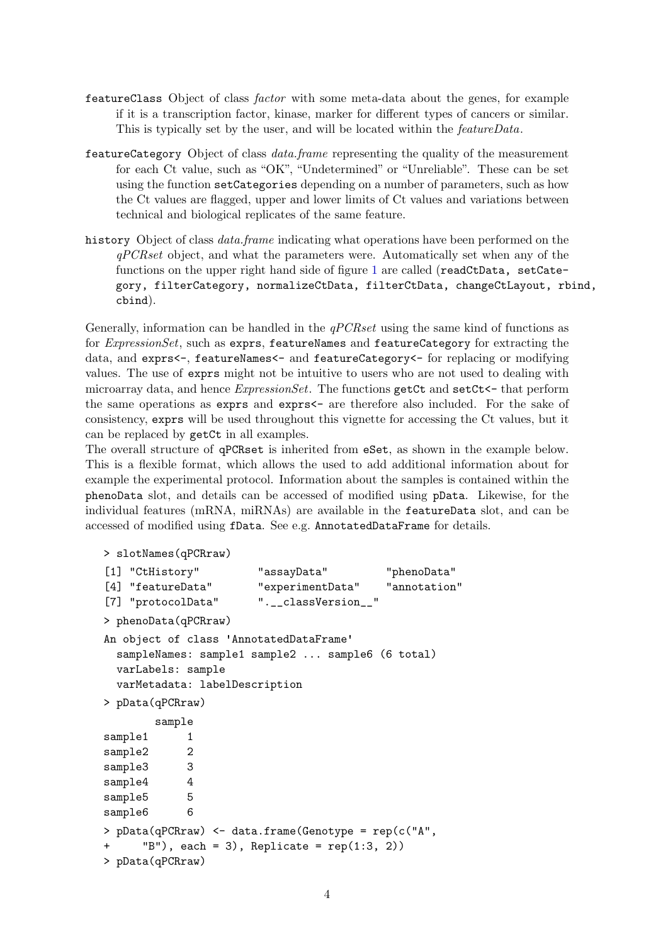- featureClass Object of class factor with some meta-data about the genes, for example if it is a transcription factor, kinase, marker for different types of cancers or similar. This is typically set by the user, and will be located within the featureData.
- featureCategory Object of class data.frame representing the quality of the measurement for each Ct value, such as "OK", "Undetermined" or "Unreliable". These can be set using the function setCategories depending on a number of parameters, such as how the Ct values are flagged, upper and lower limits of Ct values and variations between technical and biological replicates of the same feature.
- history Object of class *data.frame* indicating what operations have been performed on the  $qPCRset$  object, and what the parameters were. Automatically set when any of the functions on the upper right hand side of figure [1](#page-1-0) are called (readCtData, setCategory, filterCategory, normalizeCtData, filterCtData, changeCtLayout, rbind, cbind).

Generally, information can be handled in the  $qPCRset$  using the same kind of functions as for ExpressionSet, such as exprs, featureNames and featureCategory for extracting the data, and exprs<-, featureNames<- and featureCategory<- for replacing or modifying values. The use of exprs might not be intuitive to users who are not used to dealing with microarray data, and hence  $ExpressionSet$ . The functions getCt and setCt $\leq$  that perform the same operations as exprs and exprs  $\sim$  are therefore also included. For the sake of consistency, exprs will be used throughout this vignette for accessing the Ct values, but it can be replaced by getCt in all examples.

The overall structure of qPCRset is inherited from eSet, as shown in the example below. This is a flexible format, which allows the used to add additional information about for example the experimental protocol. Information about the samples is contained within the phenoData slot, and details can be accessed of modified using pData. Likewise, for the individual features (mRNA, miRNAs) are available in the featureData slot, and can be accessed of modified using fData. See e.g. AnnotatedDataFrame for details.

```
> slotNames(qPCRraw)
```

```
[1] "CtHistory" "assayData" "phenoData"
[4] "featureData" "experimentData" "annotation"
[7] "protocolData" ".__classVersion__"
> phenoData(qPCRraw)
An object of class 'AnnotatedDataFrame'
 sampleNames: sample1 sample2 ... sample6 (6 total)
 varLabels: sample
 varMetadata: labelDescription
> pData(qPCRraw)
       sample
sample1 1
sample2 2
sample3 3
sample4 4
sample5 5
sample6 6
> pData(qPCRraw) <- data.frame(Genotype = rep(c("A",
     "B"), each = 3), Replicate = rep(1:3, 2))
> pData(qPCRraw)
```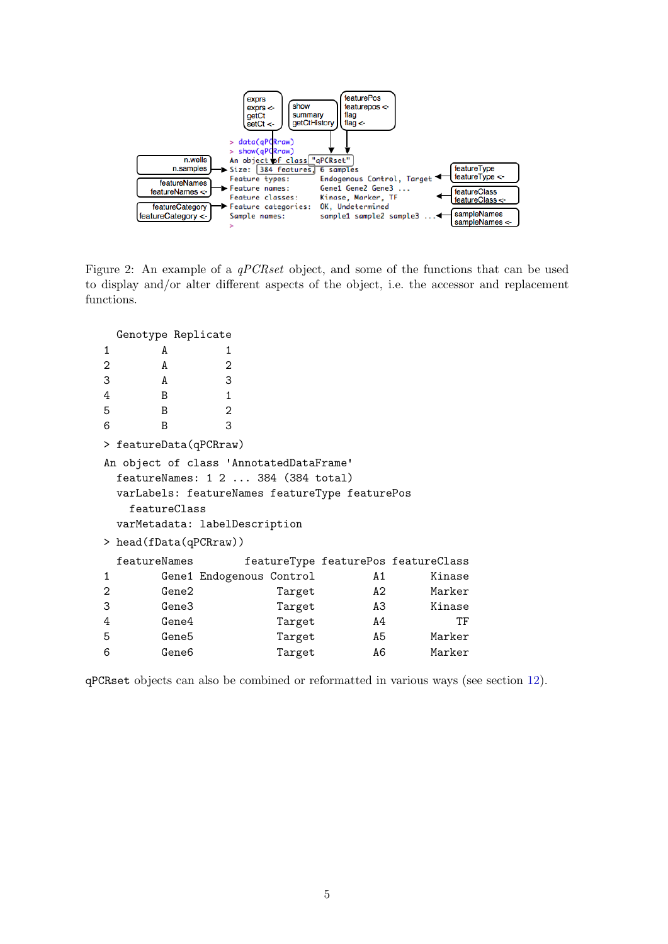

<span id="page-4-0"></span>Figure 2: An example of a qPCRset object, and some of the functions that can be used to display and/or alter different aspects of the object, i.e. the accessor and replacement functions.

| Genotype Replicate                      |                                                |                          |        |    |                                     |
|-----------------------------------------|------------------------------------------------|--------------------------|--------|----|-------------------------------------|
| 1                                       | A                                              | 1                        |        |    |                                     |
| 2                                       | A                                              | 2                        |        |    |                                     |
| 3                                       | A                                              | 3                        |        |    |                                     |
| 4                                       | B                                              | 1                        |        |    |                                     |
| 5                                       | B                                              | 2                        |        |    |                                     |
| 6                                       | B                                              | 3                        |        |    |                                     |
|                                         | > featureData(qPCRraw)                         |                          |        |    |                                     |
| An object of class 'AnnotatedDataFrame' |                                                |                          |        |    |                                     |
|                                         | featureNames: 1 2  384 (384 total)             |                          |        |    |                                     |
|                                         | varLabels: featureNames featureType featurePos |                          |        |    |                                     |
|                                         | featureClass                                   |                          |        |    |                                     |
|                                         | varMetadata: labelDescription                  |                          |        |    |                                     |
|                                         | > head(fData(qPCRraw))                         |                          |        |    |                                     |
|                                         | featureNames                                   |                          |        |    | featureType featurePos featureClass |
| 1                                       |                                                | Gene1 Endogenous Control |        | A1 | Kinase                              |
| 2                                       | Gene2                                          |                          | Target | A2 | Marker                              |
| 3                                       | Gene3                                          |                          | Target | A3 | Kinase                              |
| 4                                       | Gene4                                          |                          | Target | A4 | TF                                  |
| 5                                       | Gene <sub>5</sub>                              |                          | Target | A5 | Marker                              |
| 6                                       | Gene <sub>6</sub>                              |                          | Target | A6 | Marker                              |
|                                         |                                                |                          |        |    |                                     |

qPCRset objects can also be combined or reformatted in various ways (see section [12\)](#page-32-0).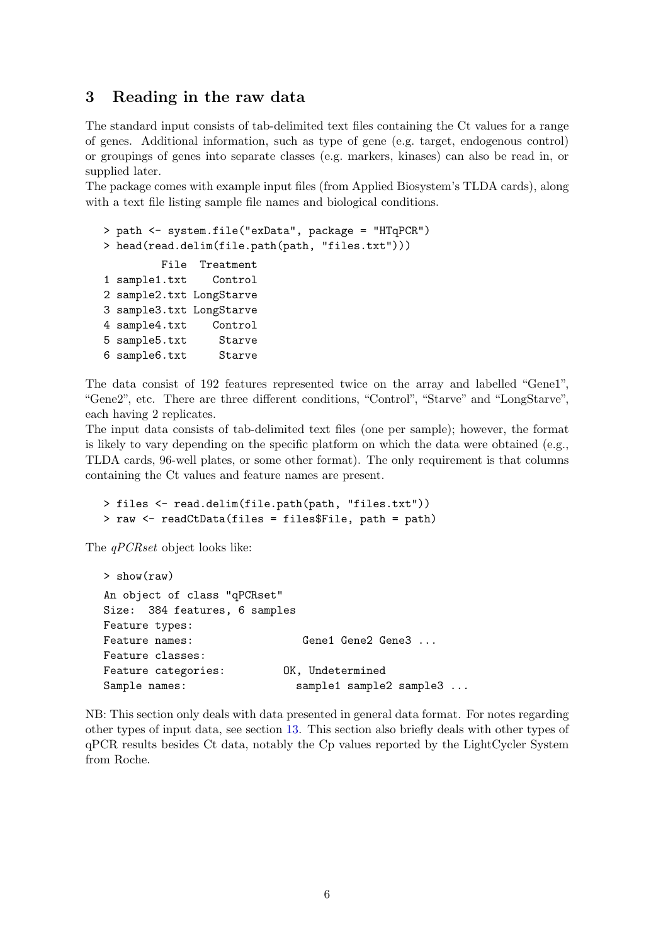## <span id="page-5-0"></span>3 Reading in the raw data

The standard input consists of tab-delimited text files containing the Ct values for a range of genes. Additional information, such as type of gene (e.g. target, endogenous control) or groupings of genes into separate classes (e.g. markers, kinases) can also be read in, or supplied later.

The package comes with example input files (from Applied Biosystem's TLDA cards), along with a text file listing sample file names and biological conditions.

```
> path <- system.file("exData", package = "HTqPCR")
> head(read.delim(file.path(path, "files.txt")))
        File Treatment
1 sample1.txt Control
2 sample2.txt LongStarve
3 sample3.txt LongStarve
4 sample4.txt Control
5 sample5.txt Starve
6 sample6.txt Starve
```
The data consist of 192 features represented twice on the array and labelled "Gene1", "Gene2", etc. There are three different conditions, "Control", "Starve" and "LongStarve", each having 2 replicates.

The input data consists of tab-delimited text files (one per sample); however, the format is likely to vary depending on the specific platform on which the data were obtained (e.g., TLDA cards, 96-well plates, or some other format). The only requirement is that columns containing the Ct values and feature names are present.

```
> files <- read.delim(file.path(path, "files.txt"))
> raw <- readCtData(files = files$File, path = path)
```
The *qPCRset* object looks like:

```
> show(raw)
An object of class "qPCRset"
Size: 384 features, 6 samples
Feature types:
Feature names: Gene1 Gene2 Gene3 ...
Feature classes:
Feature categories: OK, Undetermined
Sample names: sample1 sample2 sample3 ...
```
NB: This section only deals with data presented in general data format. For notes regarding other types of input data, see section [13.](#page-34-0) This section also briefly deals with other types of qPCR results besides Ct data, notably the Cp values reported by the LightCycler System from Roche.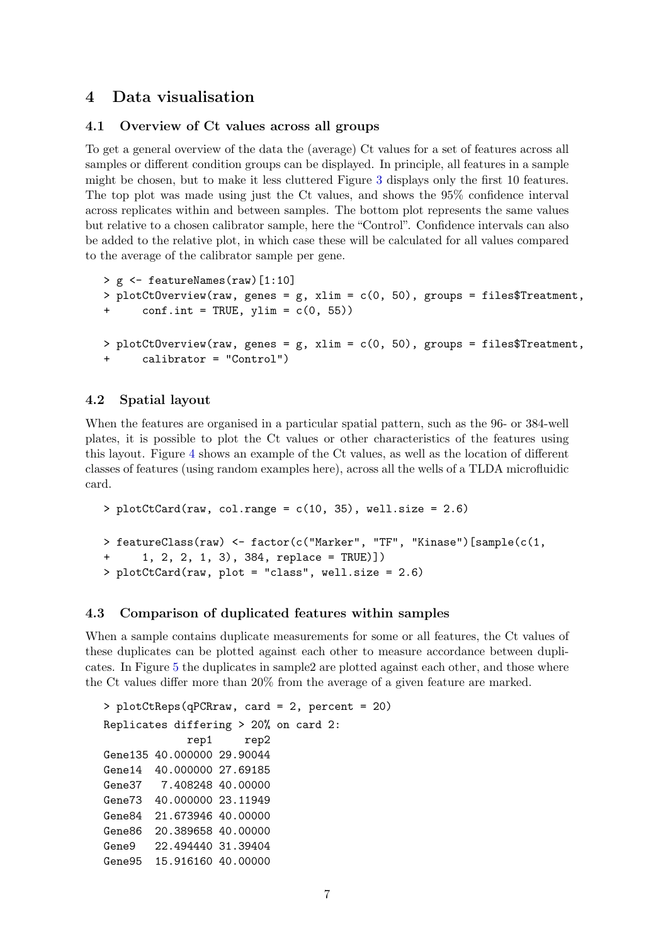## 4 Data visualisation

#### 4.1 Overview of Ct values across all groups

To get a general overview of the data the (average) Ct values for a set of features across all samples or different condition groups can be displayed. In principle, all features in a sample might be chosen, but to make it less cluttered Figure [3](#page-7-0) displays only the first 10 features. The top plot was made using just the Ct values, and shows the 95% confidence interval across replicates within and between samples. The bottom plot represents the same values but relative to a chosen calibrator sample, here the "Control". Confidence intervals can also be added to the relative plot, in which case these will be calculated for all values compared to the average of the calibrator sample per gene.

```
> g <- featureNames(raw)[1:10]
> plotCtOverview(raw, genes = g, xlim = c(0, 50), groups = files$Treatment,
+ conf.int = TRUE, ylim = c(0, 55))
> plotCtOverview(raw, genes = g, xlim = c(0, 50), groups = files$Treatment,
+ calibrator = "Control")
```
### 4.2 Spatial layout

When the features are organised in a particular spatial pattern, such as the 96- or 384-well plates, it is possible to plot the Ct values or other characteristics of the features using this layout. Figure [4](#page-8-0) shows an example of the Ct values, as well as the location of different classes of features (using random examples here), across all the wells of a TLDA microfluidic card.

```
> plotCtCard(raw, col.range = c(10, 35), well.size = 2.6)> featureClass(raw) <- factor(c("Marker", "TF", "Kinase")[sample(c(1,
+ 1, 2, 2, 1, 3), 384, replace = TRUE)])
> plotCtCard(raw, plot = "class", well.size = 2.6)
```
#### 4.3 Comparison of duplicated features within samples

When a sample contains duplicate measurements for some or all features, the Ct values of these duplicates can be plotted against each other to measure accordance between duplicates. In Figure [5](#page-9-0) the duplicates in sample2 are plotted against each other, and those where the Ct values differ more than 20% from the average of a given feature are marked.

```
> plotCtReps(qPCRraw, card = 2, percent = 20)
Replicates differing > 20% on card 2:
            rep1 rep2
Gene135 40.000000 29.90044
Gene14 40.000000 27.69185
Gene37 7.408248 40.00000
Gene73 40.000000 23.11949
Gene84 21.673946 40.00000
Gene86 20.389658 40.00000
Gene9 22.494440 31.39404
Gene95 15.916160 40.00000
```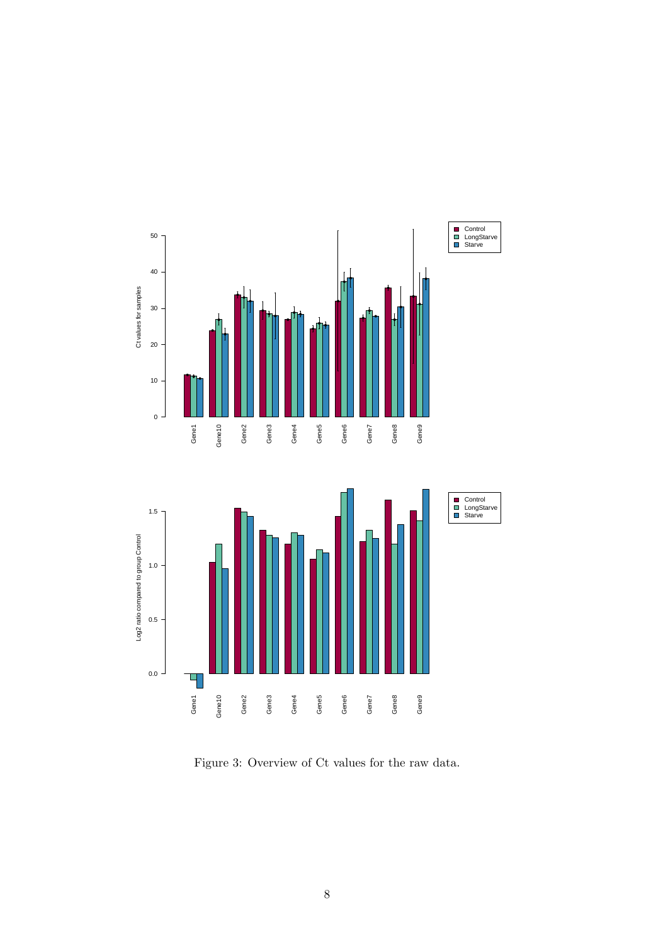

<span id="page-7-0"></span>Figure 3: Overview of Ct values for the raw data.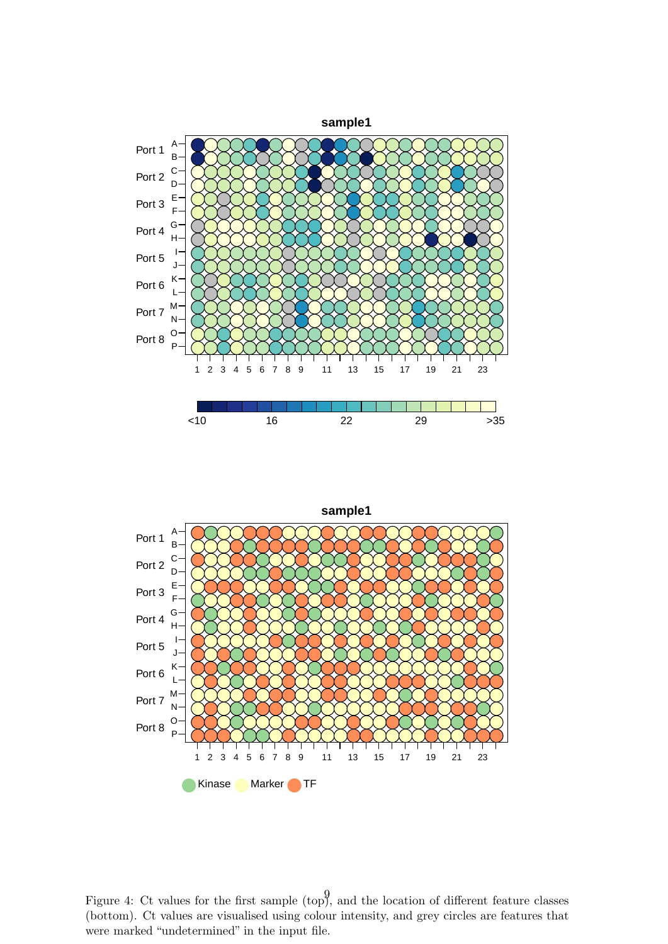

● Kinase ● Marker ● TF ●●●●●●●●●●●●●●●●●●●●●●●● ●●●●●●●●●●●●●●●●●●●●●●●●  $\bullet$ ●●●●●●●●●●●●●●●●●●●●●●●● ●●●●●●●●●●●●●●●●●●●●●●●● ●●●●●●●●●●●●●●●●●●●●●●●●  $\bullet$  $\circ$ ●●●●●●●●●●●●●●●●●●●●●●●● ●●●●●●●●●●●●●●●●●●●●●●●● ●●●●●●●●●●●●●●●●●●●●●●●● ●●●●●●●●●●●●●●●●●●●●●●●● ●●●●●●●●●●●●●●●●●●●●●●●● ●●●●●●●●●●●●●●●●●●●●●●●● ●●●●●●●●●●●●●●●●●●●●●●●● <u>෧෨෧෨ඁ෨ඁ෨ඁඁ෮ඁඁ෧ඁඁ෧ඁඁ෧ඁඁ෧ඁ෧෮෧෮෧෮෧</u> **sample1** 1 2 3 4 5 6 7 8 9 11 13 15 17 19 21 23 P O  $\overline{N}$ M L K J I H G F E D C B A Port 8 Port 7 Port 6 Port 5 Port 4 Port 3 Port 2 Port 1

<span id="page-8-0"></span>Figure 4: Ct values for the first sample (top), and the location of different feature classes (bottom). Ct values are visualised using colour intensity, and grey circles are features that were marked "undetermined" in the input file.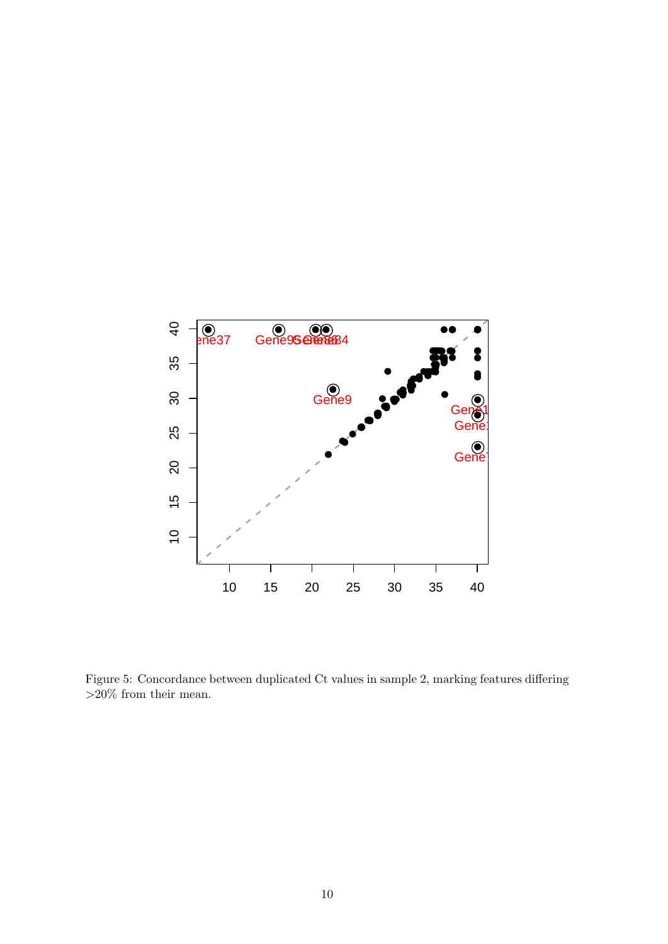

<span id="page-9-0"></span>Figure 5: Concordance between duplicated Ct values in sample 2, marking features differing  ${>}20\%$  from their mean.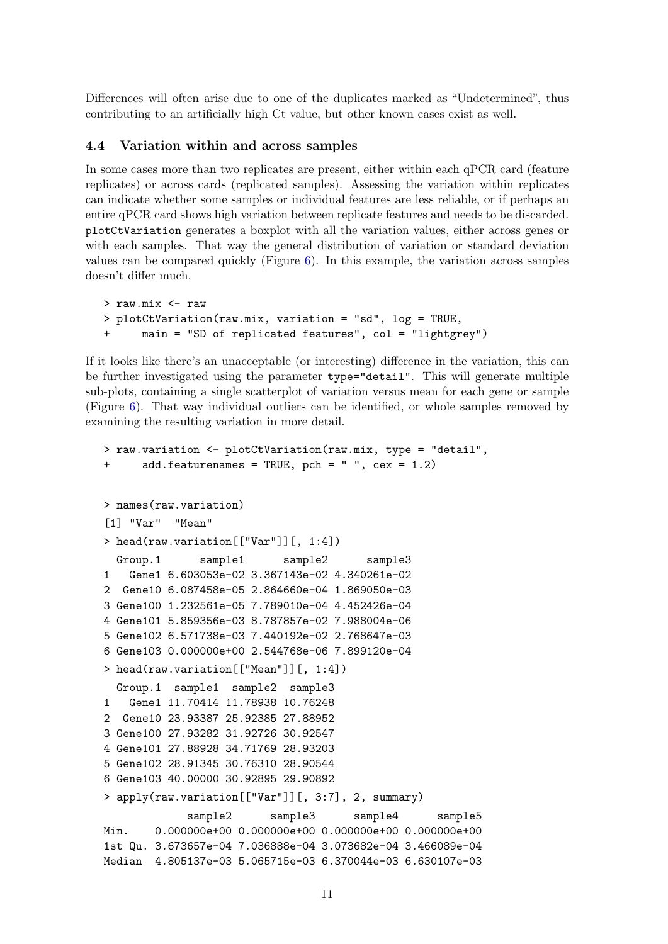Differences will often arise due to one of the duplicates marked as "Undetermined", thus contributing to an artificially high Ct value, but other known cases exist as well.

#### 4.4 Variation within and across samples

In some cases more than two replicates are present, either within each qPCR card (feature replicates) or across cards (replicated samples). Assessing the variation within replicates can indicate whether some samples or individual features are less reliable, or if perhaps an entire qPCR card shows high variation between replicate features and needs to be discarded. plotCtVariation generates a boxplot with all the variation values, either across genes or with each samples. That way the general distribution of variation or standard deviation values can be compared quickly (Figure [6\)](#page-12-0). In this example, the variation across samples doesn't differ much.

```
> raw.mix <- raw
> plotCtVariation(raw.mix, variation = "sd", log = TRUE,
+ main = "SD of replicated features", col = "lightgrey")
```
If it looks like there's an unacceptable (or interesting) difference in the variation, this can be further investigated using the parameter type="detail". This will generate multiple sub-plots, containing a single scatterplot of variation versus mean for each gene or sample (Figure [6\)](#page-12-0). That way individual outliers can be identified, or whole samples removed by examining the resulting variation in more detail.

```
> raw.variation <- plotCtVariation(raw.mix, type = "detail",
      add.featurenames = TRUE, pch = " " , cex = 1.2)> names(raw.variation)
[1] "Var" "Mean"
> head(raw.variation[["Var"]][, 1:4])
 Group.1 sample1 sample2 sample3
1 Gene1 6.603053e-02 3.367143e-02 4.340261e-02
2 Gene10 6.087458e-05 2.864660e-04 1.869050e-03
3 Gene100 1.232561e-05 7.789010e-04 4.452426e-04
4 Gene101 5.859356e-03 8.787857e-02 7.988004e-06
5 Gene102 6.571738e-03 7.440192e-02 2.768647e-03
6 Gene103 0.000000e+00 2.544768e-06 7.899120e-04
> head(raw.variation[["Mean"]][, 1:4])
 Group.1 sample1 sample2 sample3
1 Gene1 11.70414 11.78938 10.76248
2 Gene10 23.93387 25.92385 27.88952
3 Gene100 27.93282 31.92726 30.92547
4 Gene101 27.88928 34.71769 28.93203
5 Gene102 28.91345 30.76310 28.90544
6 Gene103 40.00000 30.92895 29.90892
> apply(raw.variation[["Var"]][, 3:7], 2, summary)
            sample2 sample3 sample4 sample5
Min. 0.000000e+00 0.000000e+00 0.000000e+00 0.000000e+00
1st Qu. 3.673657e-04 7.036888e-04 3.073682e-04 3.466089e-04
Median 4.805137e-03 5.065715e-03 6.370044e-03 6.630107e-03
```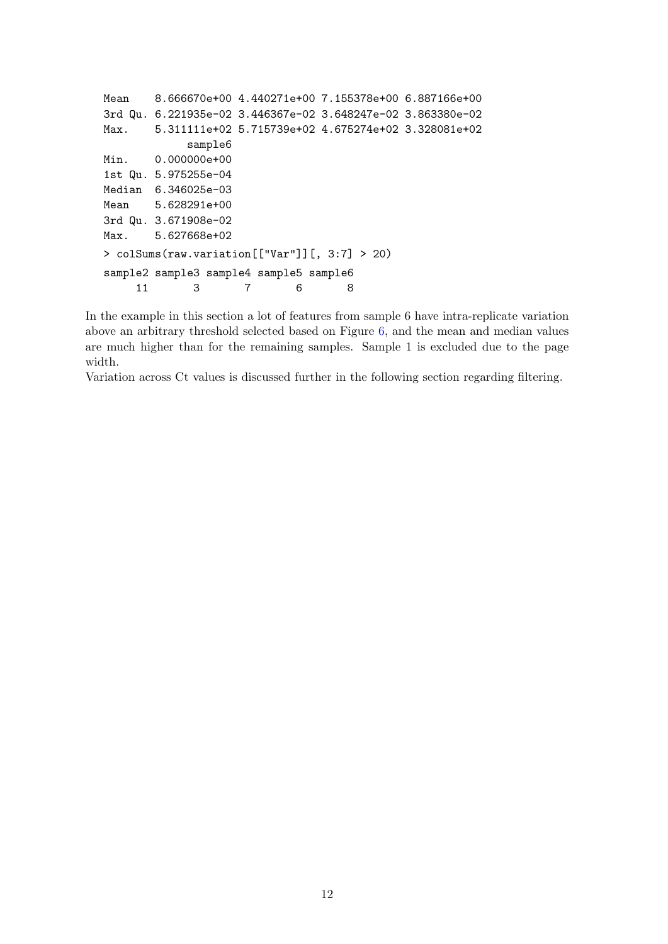```
Mean 8.666670e+00 4.440271e+00 7.155378e+00 6.887166e+00
3rd Qu. 6.221935e-02 3.446367e-02 3.648247e-02 3.863380e-02
Max. 5.311111e+02 5.715739e+02 4.675274e+02 3.328081e+02
            sample6
Min. 0.000000e+00
1st Qu. 5.975255e-04
Median 6.346025e-03
Mean 5.628291e+00
3rd Qu. 3.671908e-02
Max. 5.627668e+02
> colSums(raw.variation[["Var"]][, 3:7] > 20)
sample2 sample3 sample4 sample5 sample6
    11 3 7 6 8
```
In the example in this section a lot of features from sample 6 have intra-replicate variation above an arbitrary threshold selected based on Figure [6,](#page-12-0) and the mean and median values are much higher than for the remaining samples. Sample 1 is excluded due to the page width.

Variation across Ct values is discussed further in the following section regarding filtering.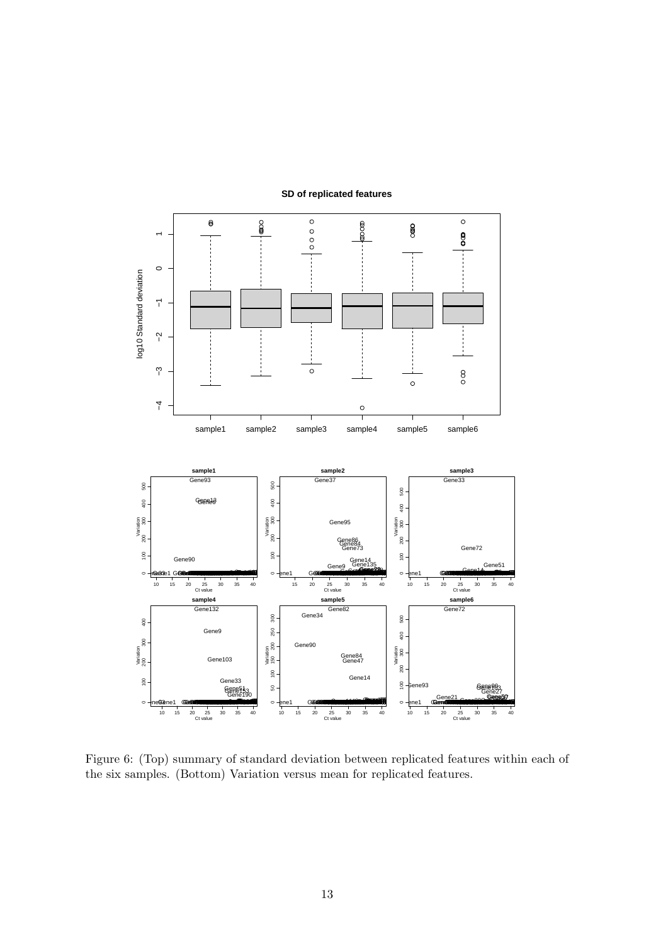

**SD of replicated features**

<span id="page-12-0"></span>Figure 6: (Top) summary of standard deviation between replicated features within each of the six samples. (Bottom) Variation versus mean for replicated features.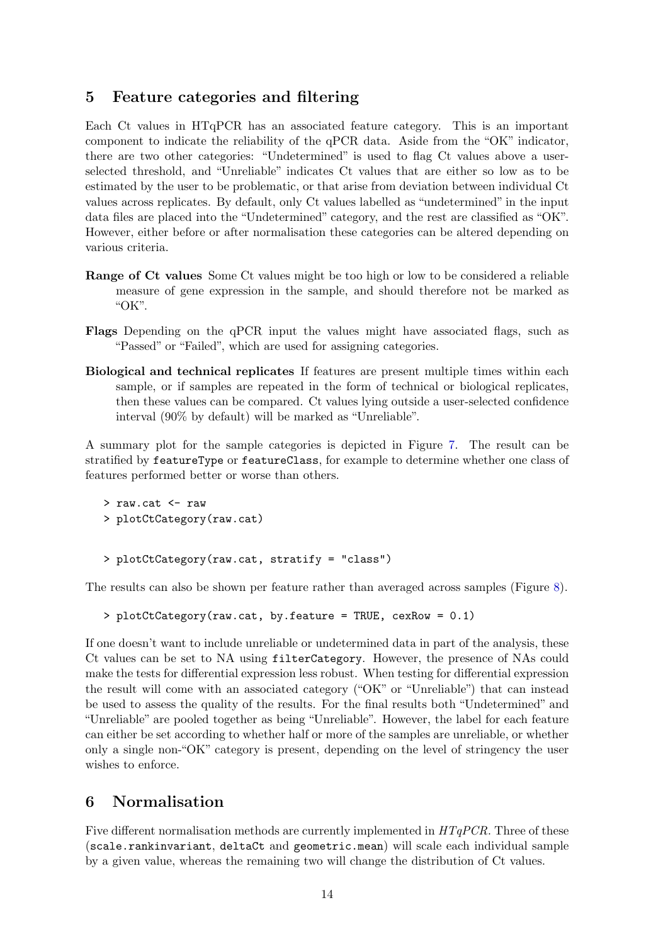## 5 Feature categories and filtering

Each Ct values in HTqPCR has an associated feature category. This is an important component to indicate the reliability of the qPCR data. Aside from the "OK" indicator, there are two other categories: "Undetermined" is used to flag Ct values above a userselected threshold, and "Unreliable" indicates Ct values that are either so low as to be estimated by the user to be problematic, or that arise from deviation between individual Ct values across replicates. By default, only Ct values labelled as "undetermined" in the input data files are placed into the "Undetermined" category, and the rest are classified as "OK". However, either before or after normalisation these categories can be altered depending on various criteria.

- Range of Ct values Some Ct values might be too high or low to be considered a reliable measure of gene expression in the sample, and should therefore not be marked as "OK".
- Flags Depending on the qPCR input the values might have associated flags, such as "Passed" or "Failed", which are used for assigning categories.
- Biological and technical replicates If features are present multiple times within each sample, or if samples are repeated in the form of technical or biological replicates, then these values can be compared. Ct values lying outside a user-selected confidence interval (90% by default) will be marked as "Unreliable".

A summary plot for the sample categories is depicted in Figure [7.](#page-14-0) The result can be stratified by featureType or featureClass, for example to determine whether one class of features performed better or worse than others.

```
> raw.cat <- raw
> plotCtCategory(raw.cat)
```

```
> plotCtCategory(raw.cat, stratify = "class")
```
The results can also be shown per feature rather than averaged across samples (Figure [8\)](#page-15-0).

```
> plotCtCategory(raw.cat, by.feature = TRUE, cexRow = 0.1)
```
If one doesn't want to include unreliable or undetermined data in part of the analysis, these Ct values can be set to NA using filterCategory. However, the presence of NAs could make the tests for differential expression less robust. When testing for differential expression the result will come with an associated category ("OK" or "Unreliable") that can instead be used to assess the quality of the results. For the final results both "Undetermined" and "Unreliable" are pooled together as being "Unreliable". However, the label for each feature can either be set according to whether half or more of the samples are unreliable, or whether only a single non-"OK" category is present, depending on the level of stringency the user wishes to enforce.

## 6 Normalisation

Five different normalisation methods are currently implemented in  $HTqPCR$ . Three of these (scale.rankinvariant, deltaCt and geometric.mean) will scale each individual sample by a given value, whereas the remaining two will change the distribution of Ct values.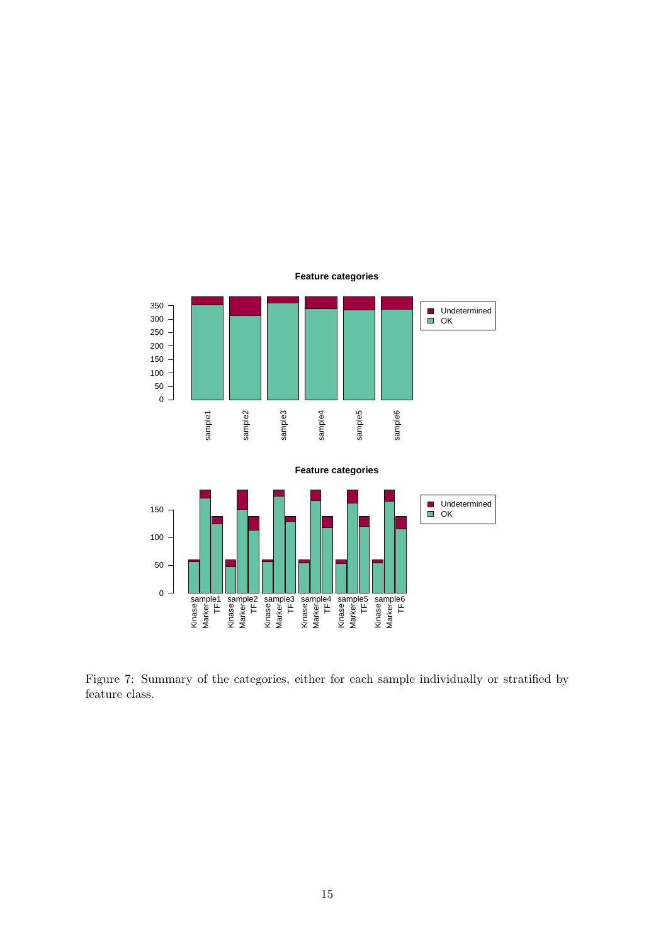

<span id="page-14-0"></span>Figure 7: Summary of the categories, either for each sample individually or stratified by feature class.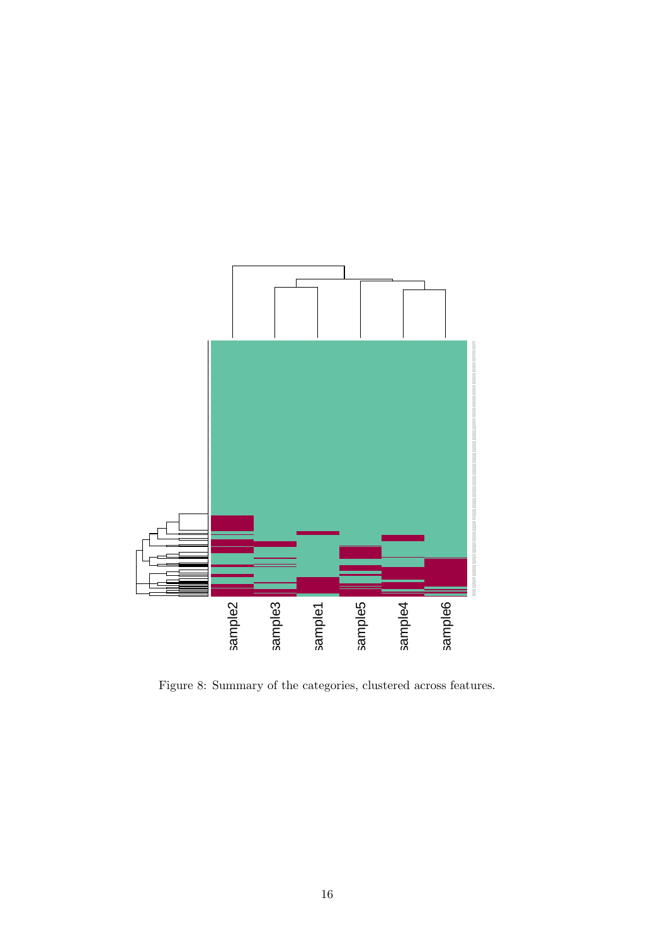

<span id="page-15-0"></span>Figure 8: Summary of the categories, clustered across features.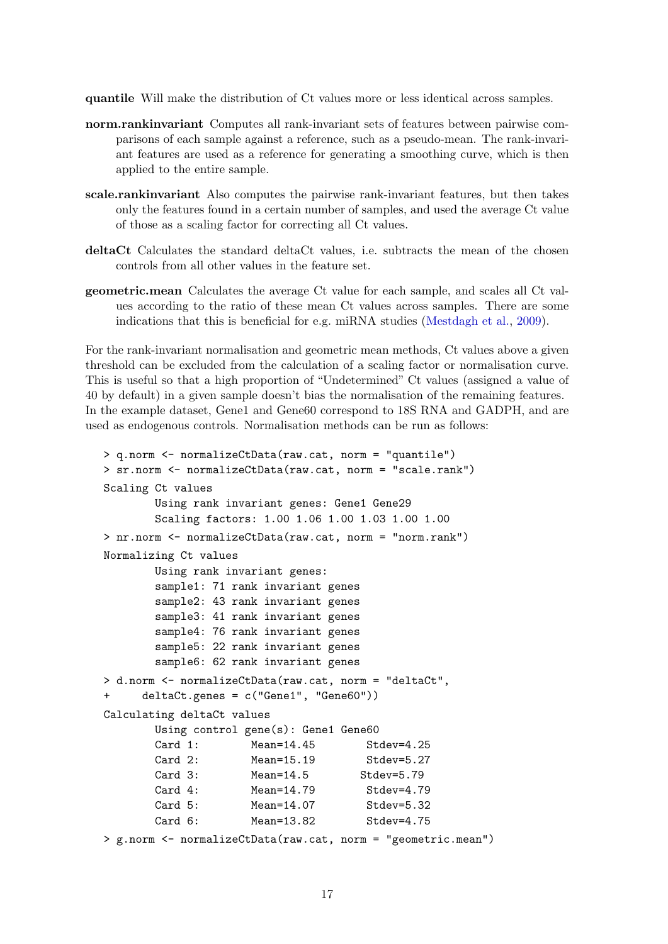<span id="page-16-0"></span>quantile Will make the distribution of Ct values more or less identical across samples.

- norm.rankinvariant Computes all rank-invariant sets of features between pairwise comparisons of each sample against a reference, such as a pseudo-mean. The rank-invariant features are used as a reference for generating a smoothing curve, which is then applied to the entire sample.
- scale.rankinvariant Also computes the pairwise rank-invariant features, but then takes only the features found in a certain number of samples, and used the average Ct value of those as a scaling factor for correcting all Ct values.
- deltaCt Calculates the standard deltaCt values, i.e. subtracts the mean of the chosen controls from all other values in the feature set.
- geometric.mean Calculates the average Ct value for each sample, and scales all Ct values according to the ratio of these mean Ct values across samples. There are some indications that this is beneficial for e.g. miRNA studies [\(Mestdagh et al.,](#page-40-1) [2009\)](#page-40-1).

For the rank-invariant normalisation and geometric mean methods, Ct values above a given threshold can be excluded from the calculation of a scaling factor or normalisation curve. This is useful so that a high proportion of "Undetermined" Ct values (assigned a value of 40 by default) in a given sample doesn't bias the normalisation of the remaining features. In the example dataset, Gene1 and Gene60 correspond to 18S RNA and GADPH, and are used as endogenous controls. Normalisation methods can be run as follows:

```
> q.norm <- normalizeCtData(raw.cat, norm = "quantile")
> sr.norm <- normalizeCtData(raw.cat, norm = "scale.rank")
Scaling Ct values
       Using rank invariant genes: Gene1 Gene29
       Scaling factors: 1.00 1.06 1.00 1.03 1.00 1.00
> nr.norm <- normalizeCtData(raw.cat, norm = "norm.rank")
Normalizing Ct values
       Using rank invariant genes:
       sample1: 71 rank invariant genes
       sample2: 43 rank invariant genes
       sample3: 41 rank invariant genes
       sample4: 76 rank invariant genes
       sample5: 22 rank invariant genes
       sample6: 62 rank invariant genes
> d.norm <- normalizeCtData(raw.cat, norm = "deltaCt",
     deltaCt.genes = c("Gene1", "Gene60"))Calculating deltaCt values
       Using control gene(s): Gene1 Gene60
       Card 1: Mean=14.45 Stdev=4.25
       Card 2: Mean=15.19 Stdev=5.27
       Card 3: Mean=14.5 Stdev=5.79
       Card 4: Mean=14.79 Stdev=4.79
       Card 5: Mean=14.07 Stdev=5.32
       Card 6: Mean=13.82 Stdev=4.75
> g.norm <- normalizeCtData(raw.cat, norm = "geometric.mean")
```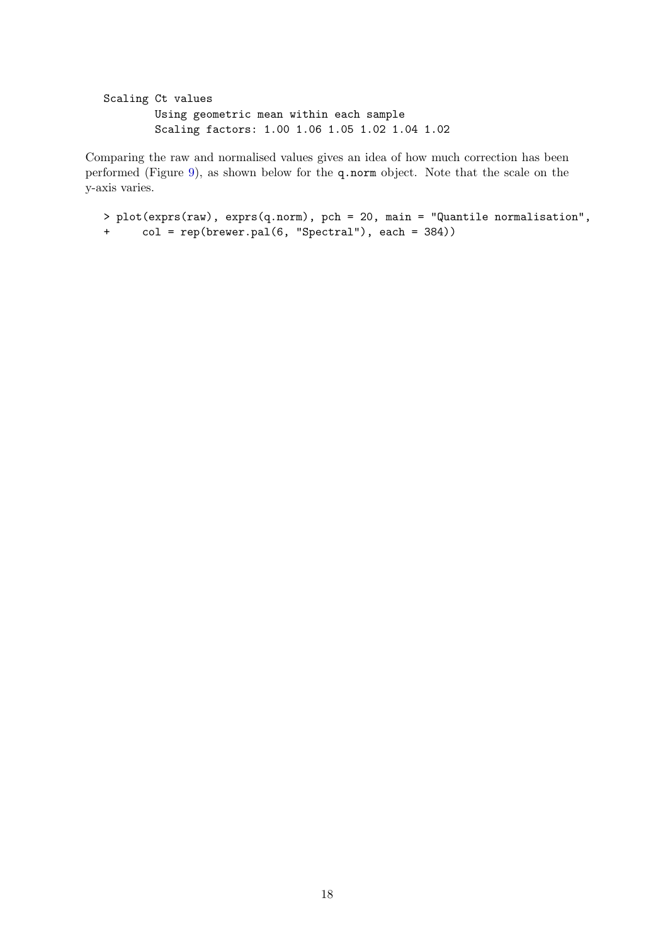```
Scaling Ct values
        Using geometric mean within each sample
        Scaling factors: 1.00 1.06 1.05 1.02 1.04 1.02
```
Comparing the raw and normalised values gives an idea of how much correction has been performed (Figure [9\)](#page-18-0), as shown below for the q.norm object. Note that the scale on the y-axis varies.

```
> plot(exprs(raw), exprs(q.norm), pch = 20, main = "Quantile normalisation",
+ col = rep(brewer.pal(6, "Spectral"), each = 384))
```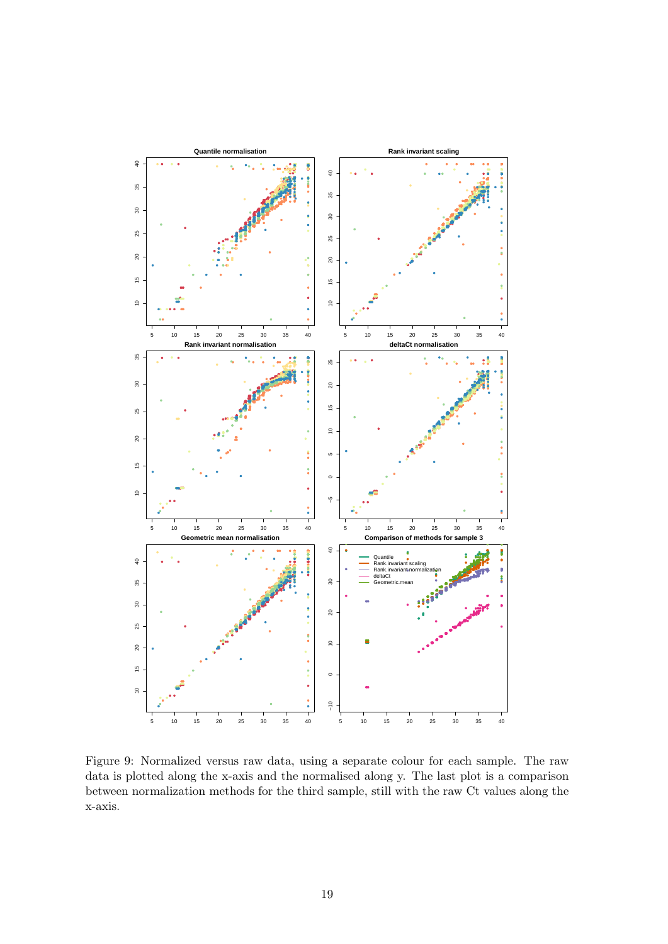

<span id="page-18-0"></span>Figure 9: Normalized versus raw data, using a separate colour for each sample. The raw data is plotted along the x-axis and the normalised along y. The last plot is a comparison between normalization methods for the third sample, still with the raw Ct values along the  $x$ -axis.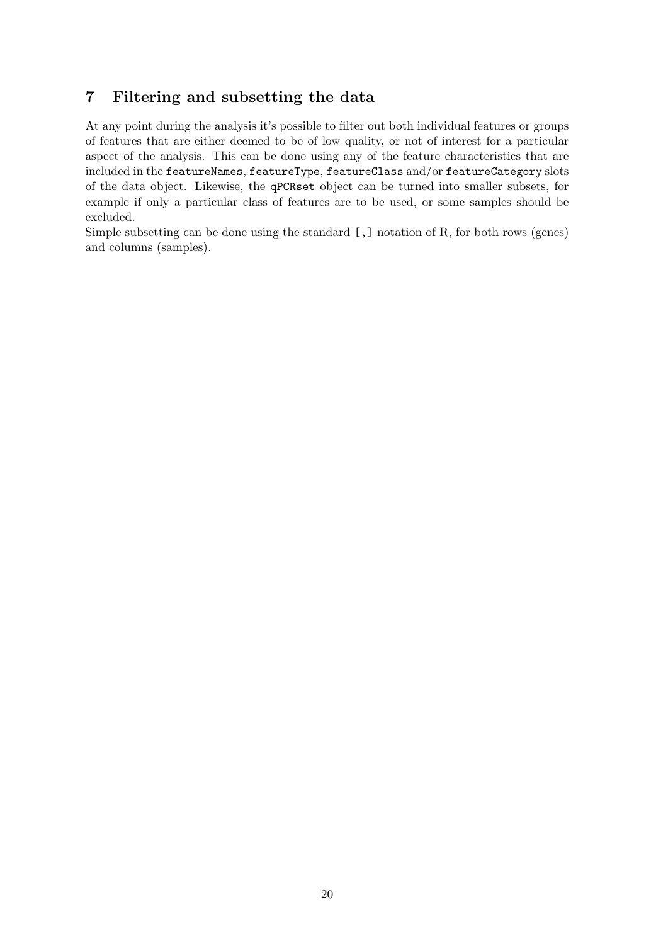## 7 Filtering and subsetting the data

At any point during the analysis it's possible to filter out both individual features or groups of features that are either deemed to be of low quality, or not of interest for a particular aspect of the analysis. This can be done using any of the feature characteristics that are included in the featureNames, featureType, featureClass and/or featureCategory slots of the data object. Likewise, the qPCRset object can be turned into smaller subsets, for example if only a particular class of features are to be used, or some samples should be excluded.

Simple subsetting can be done using the standard [,] notation of R, for both rows (genes) and columns (samples).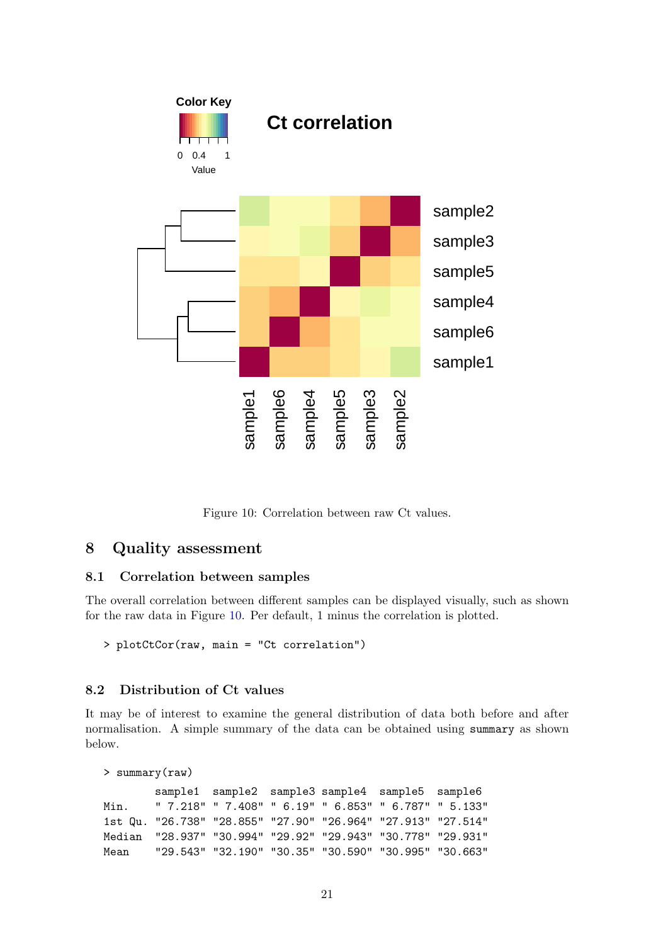

<span id="page-20-0"></span>Figure 10: Correlation between raw Ct values.

## 8 Quality assessment

#### 8.1 Correlation between samples

The overall correlation between different samples can be displayed visually, such as shown for the raw data in Figure [10.](#page-20-0) Per default, 1 minus the correlation is plotted.

> plotCtCor(raw, main = "Ct correlation")

#### 8.2 Distribution of Ct values

It may be of interest to examine the general distribution of data both before and after normalisation. A simple summary of the data can be obtained using summary as shown below.

```
> summary(raw)
       sample1 sample2 sample3 sample4 sample5 sample6
Min. " 7.218" " 7.408" " 6.19" " 6.853" " 6.787" " 5.133"
1st Qu. "26.738" "28.855" "27.90" "26.964" "27.913" "27.514"
Median "28.937" "30.994" "29.92" "29.943" "30.778" "29.931"
Mean "29.543" "32.190" "30.35" "30.590" "30.995" "30.663"
```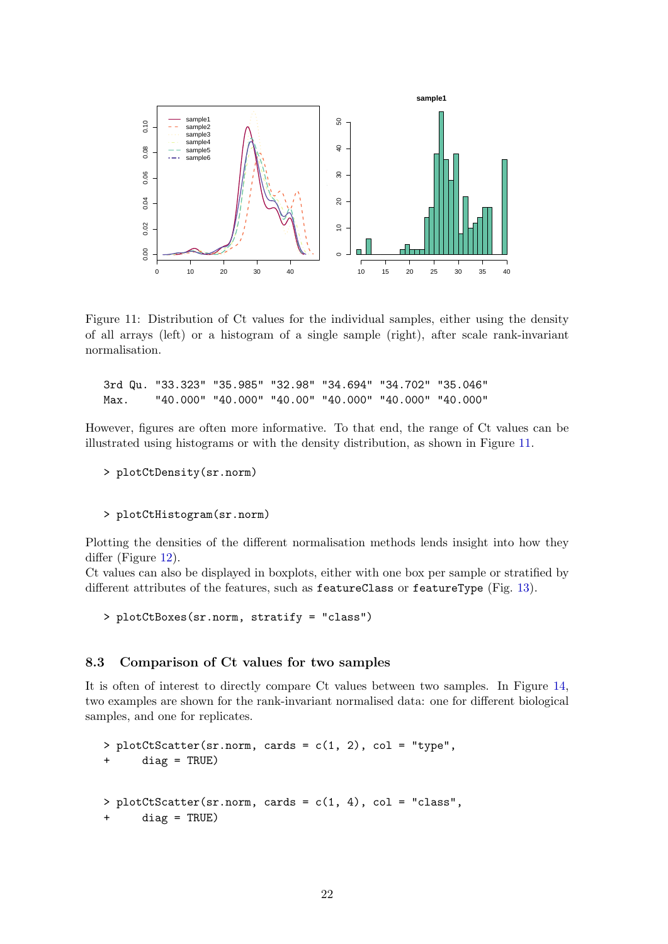

<span id="page-21-0"></span>Figure 11: Distribution of Ct values for the individual samples, either using the density of all arrays (left) or a histogram of a single sample (right), after scale rank-invariant normalisation.

3rd Qu. "33.323" "35.985" "32.98" "34.694" "34.702" "35.046" Max. "40.000" "40.000" "40.00" "40.000" "40.000" "40.000"

However, figures are often more informative. To that end, the range of Ct values can be illustrated using histograms or with the density distribution, as shown in Figure [11.](#page-21-0)

```
> plotCtDensity(sr.norm)
```

```
> plotCtHistogram(sr.norm)
```
Plotting the densities of the different normalisation methods lends insight into how they differ (Figure [12\)](#page-22-0).

Ct values can also be displayed in boxplots, either with one box per sample or stratified by different attributes of the features, such as featureClass or featureType (Fig. [13\)](#page-23-0).

> plotCtBoxes(sr.norm, stratify = "class")

#### 8.3 Comparison of Ct values for two samples

It is often of interest to directly compare Ct values between two samples. In Figure [14,](#page-23-1) two examples are shown for the rank-invariant normalised data: one for different biological samples, and one for replicates.

```
> plotCtscatter(sr.norm, cards = c(1, 2), col = "type",+ diag = TRUE)
> plotCtScatter(sr.norm, cards = c(1, 4), col = "class",
     diag = TRUE)
```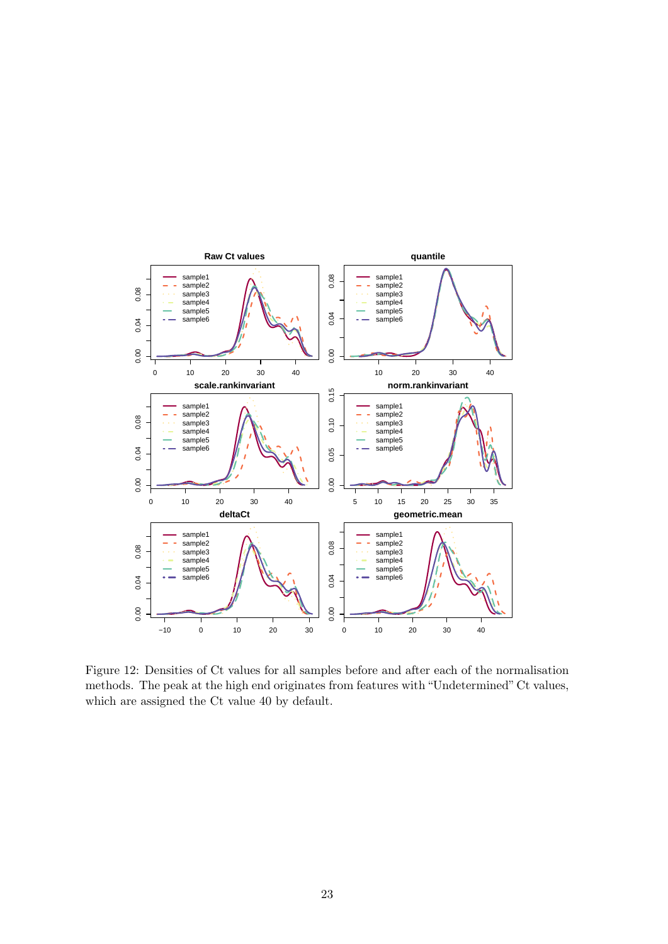

<span id="page-22-0"></span>Figure 12: Densities of Ct values for all samples before and after each of the normalisation methods. The peak at the high end originates from features with "Undetermined" Ct values, which are assigned the Ct value 40 by default.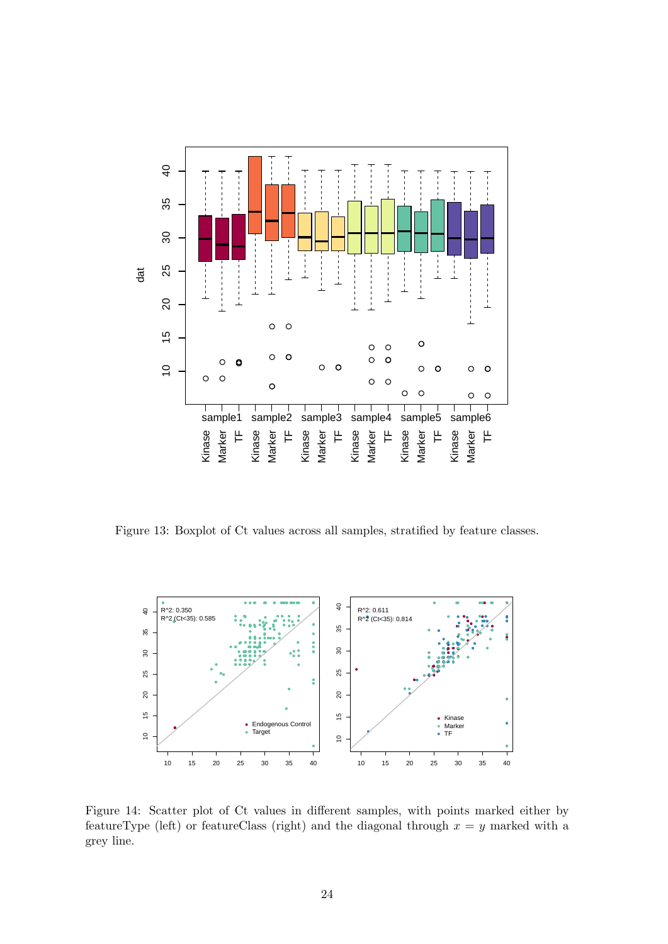

<span id="page-23-0"></span>Figure 13: Boxplot of Ct values across all samples, stratified by feature classes.



<span id="page-23-1"></span>Figure 14: Scatter plot of Ct values in different samples, with points marked either by featureType (left) or featureClass (right) and the diagonal through  $x = y$  marked with a grey line.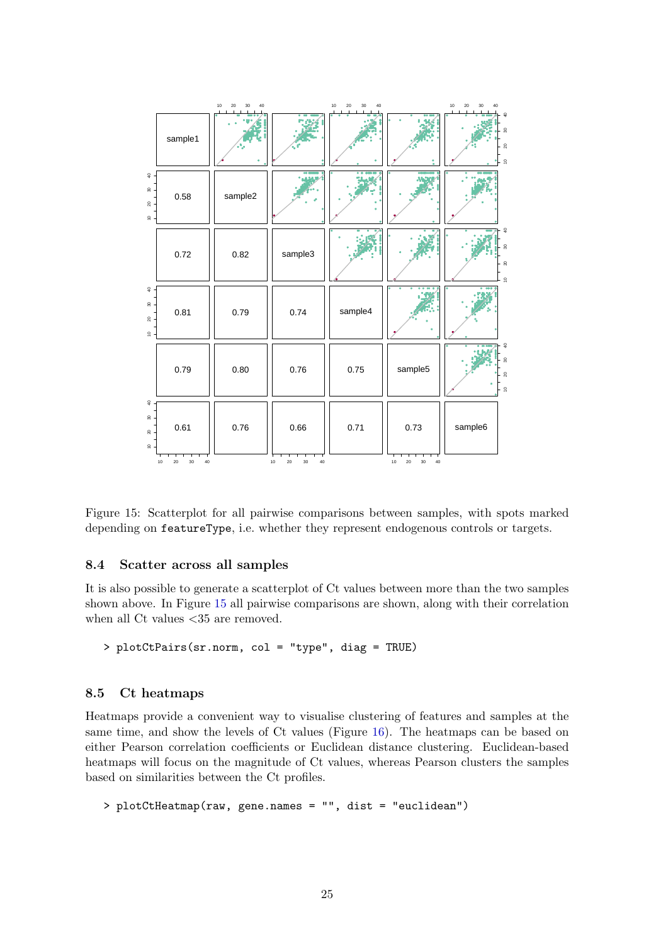

<span id="page-24-0"></span>Figure 15: Scatterplot for all pairwise comparisons between samples, with spots marked depending on featureType, i.e. whether they represent endogenous controls or targets.

#### 8.4 Scatter across all samples

It is also possible to generate a scatterplot of Ct values between more than the two samples shown above. In Figure [15](#page-24-0) all pairwise comparisons are shown, along with their correlation when all Ct values  $\langle 35 \rangle$  are removed.

```
> plotCtPairs(sr.norm, col = "type", diag = TRUE)
```
#### 8.5 Ct heatmaps

Heatmaps provide a convenient way to visualise clustering of features and samples at the same time, and show the levels of Ct values (Figure [16\)](#page-25-0). The heatmaps can be based on either Pearson correlation coefficients or Euclidean distance clustering. Euclidean-based heatmaps will focus on the magnitude of Ct values, whereas Pearson clusters the samples based on similarities between the Ct profiles.

> plotCtHeatmap(raw, gene.names = "", dist = "euclidean")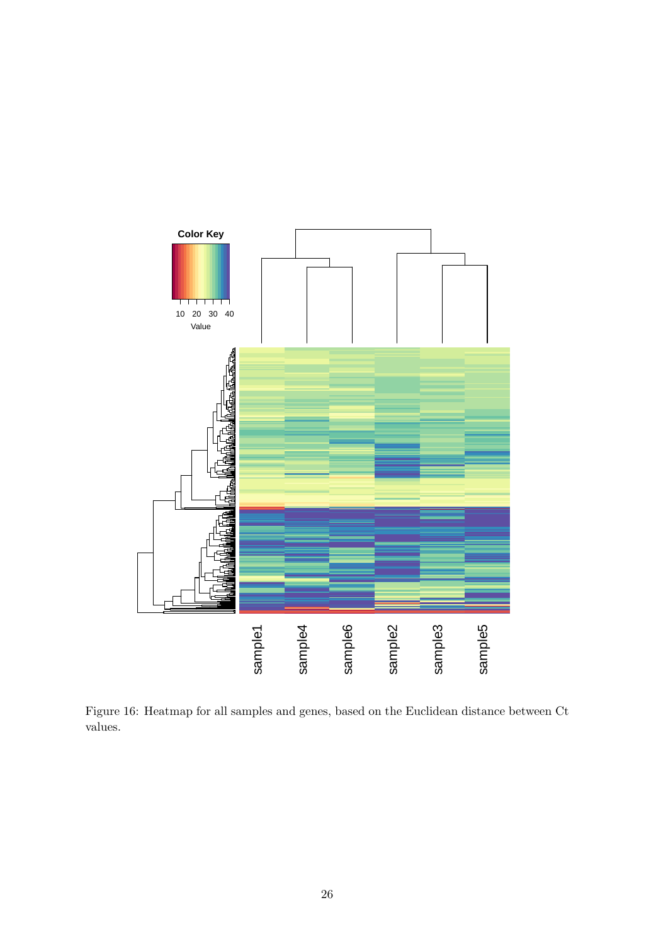

<span id="page-25-0"></span>Figure 16: Heatmap for all samples and genes, based on the Euclidean distance between Ct values.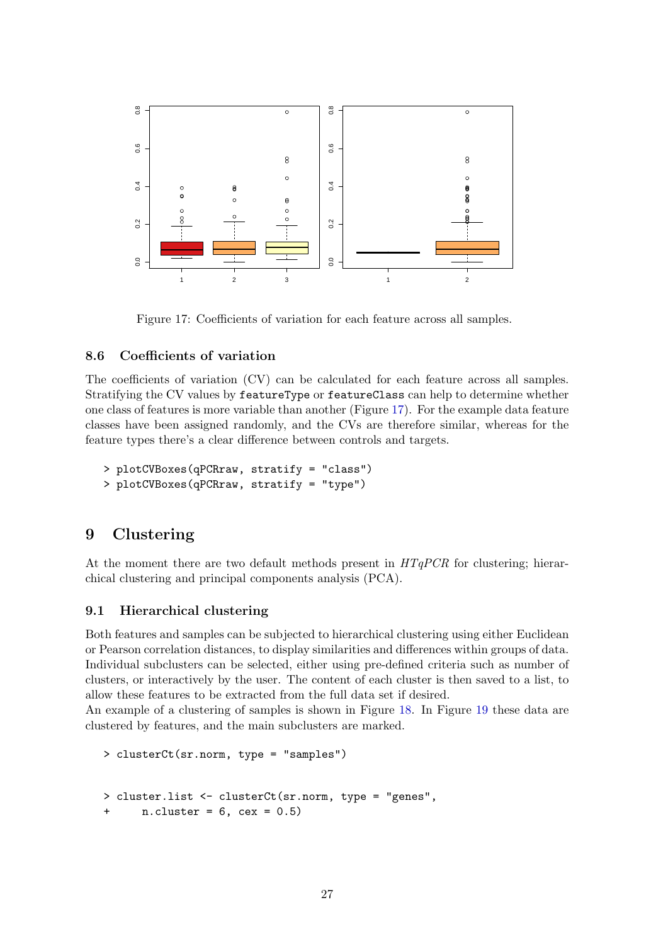

<span id="page-26-0"></span>Figure 17: Coefficients of variation for each feature across all samples.

#### 8.6 Coefficients of variation

The coefficients of variation (CV) can be calculated for each feature across all samples. Stratifying the CV values by featureType or featureClass can help to determine whether one class of features is more variable than another (Figure [17\)](#page-26-0). For the example data feature classes have been assigned randomly, and the CVs are therefore similar, whereas for the feature types there's a clear difference between controls and targets.

```
> plotCVBoxes(qPCRraw, stratify = "class")
> plotCVBoxes(qPCRraw, stratify = "type")
```
## 9 Clustering

At the moment there are two default methods present in  $HTqPCR$  for clustering; hierarchical clustering and principal components analysis (PCA).

### 9.1 Hierarchical clustering

Both features and samples can be subjected to hierarchical clustering using either Euclidean or Pearson correlation distances, to display similarities and differences within groups of data. Individual subclusters can be selected, either using pre-defined criteria such as number of clusters, or interactively by the user. The content of each cluster is then saved to a list, to allow these features to be extracted from the full data set if desired.

An example of a clustering of samples is shown in Figure [18.](#page-27-0) In Figure [19](#page-27-1) these data are clustered by features, and the main subclusters are marked.

```
> clusterCt(sr.norm, type = "samples")
> cluster.list <- clusterCt(sr.norm, type = "genes",
      n. cluster = 6, cex = 0.5)
```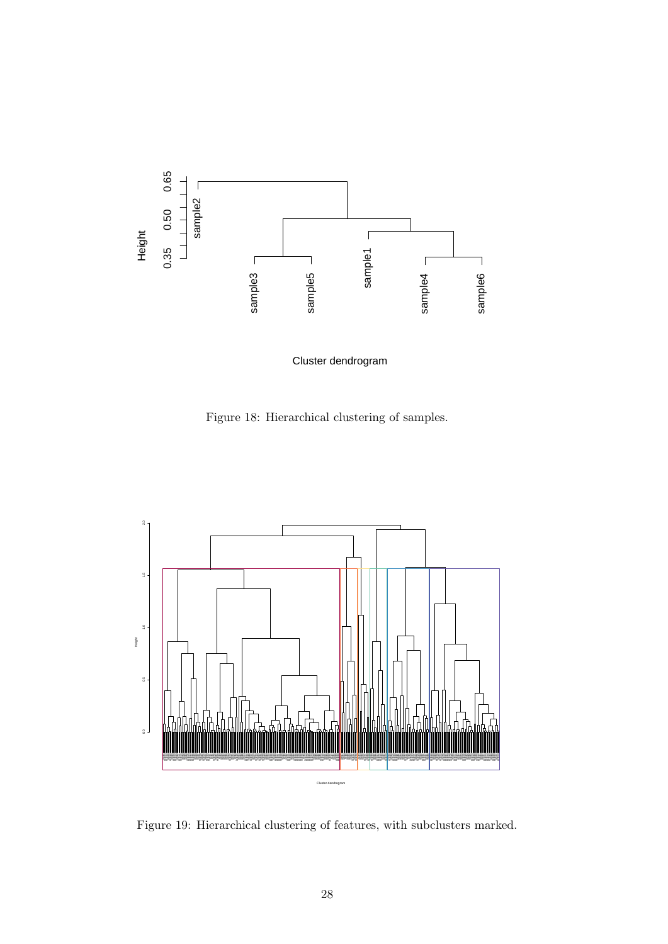

<span id="page-27-0"></span>Cluster dendrogram

Figure 18: Hierarchical clustering of samples.



<span id="page-27-1"></span>Figure 19: Hierarchical clustering of features, with subclusters marked.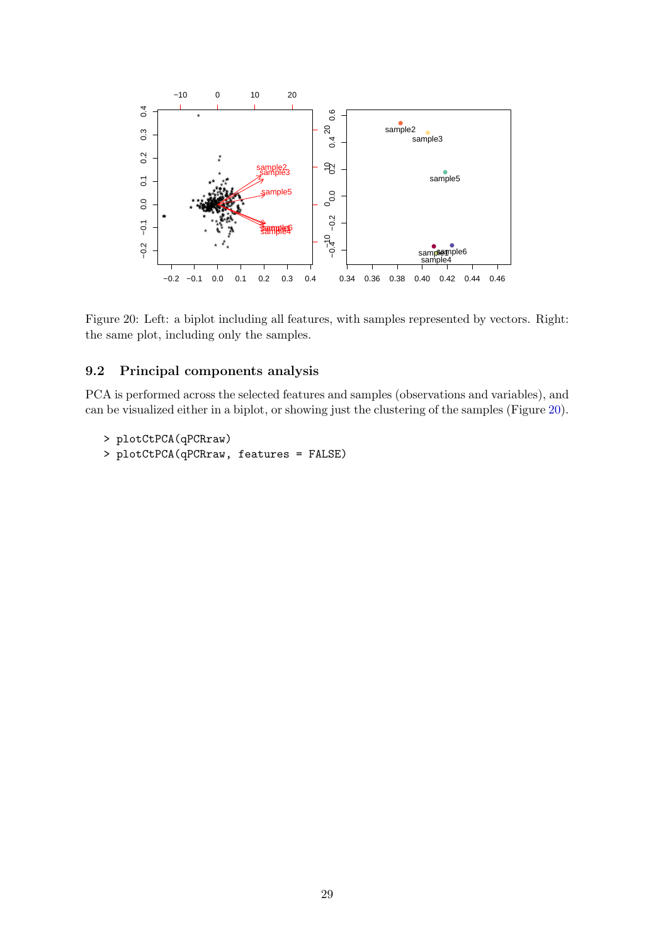

<span id="page-28-0"></span>Figure 20: Left: a biplot including all features, with samples represented by vectors. Right: the same plot, including only the samples.

#### 9.2 Principal components analysis

PCA is performed across the selected features and samples (observations and variables), and can be visualized either in a biplot, or showing just the clustering of the samples (Figure [20\)](#page-28-0).

```
> plotCtPCA(qPCRraw)
```

```
> plotCtPCA(qPCRraw, features = FALSE)
```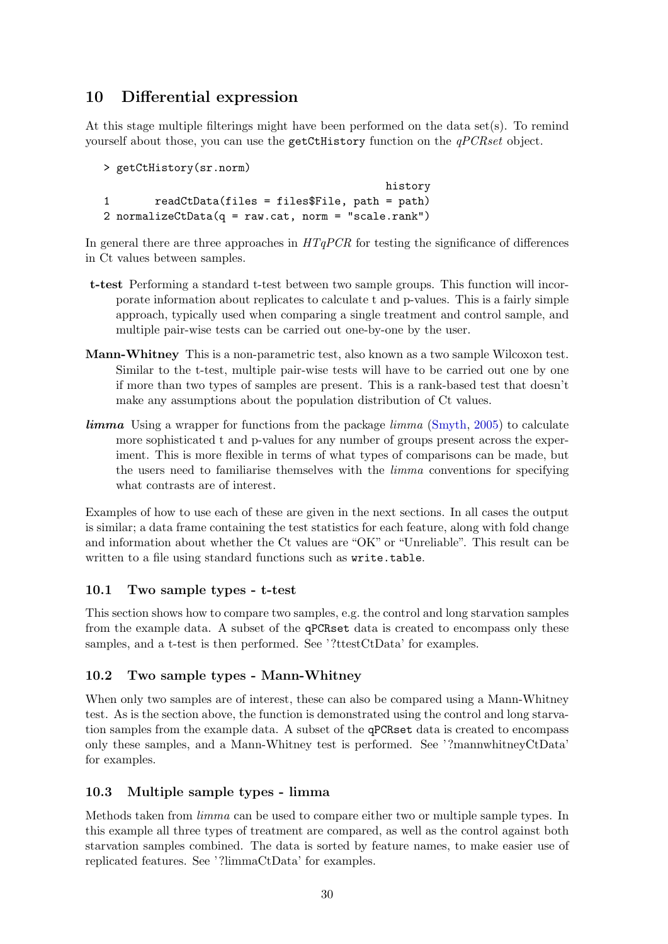## <span id="page-29-0"></span>10 Differential expression

At this stage multiple filterings might have been performed on the data set(s). To remind yourself about those, you can use the getCtHistory function on the *qPCRset* object.

```
> getCtHistory(sr.norm)
                                           history
1 readCtData(files = files$File, path = path)
2 normalizeCtData(q = raw.cat, norm = "scale.rank")
```
In general there are three approaches in  $HTqPCR$  for testing the significance of differences in Ct values between samples.

- t-test Performing a standard t-test between two sample groups. This function will incorporate information about replicates to calculate t and p-values. This is a fairly simple approach, typically used when comparing a single treatment and control sample, and multiple pair-wise tests can be carried out one-by-one by the user.
- Mann-Whitney This is a non-parametric test, also known as a two sample Wilcoxon test. Similar to the t-test, multiple pair-wise tests will have to be carried out one by one if more than two types of samples are present. This is a rank-based test that doesn't make any assumptions about the population distribution of Ct values.
- $\lim_{\text{nm}}$  Using a wrapper for functions from the package  $\lim_{\text{nm}}$  [\(Smyth,](#page-40-2) [2005\)](#page-40-2) to calculate more sophisticated t and p-values for any number of groups present across the experiment. This is more flexible in terms of what types of comparisons can be made, but the users need to familiarise themselves with the limma conventions for specifying what contrasts are of interest.

Examples of how to use each of these are given in the next sections. In all cases the output is similar; a data frame containing the test statistics for each feature, along with fold change and information about whether the Ct values are "OK" or "Unreliable". This result can be written to a file using standard functions such as write.table.

## 10.1 Two sample types - t-test

This section shows how to compare two samples, e.g. the control and long starvation samples from the example data. A subset of the qPCRset data is created to encompass only these samples, and a t-test is then performed. See '?ttestCtData' for examples.

### 10.2 Two sample types - Mann-Whitney

When only two samples are of interest, these can also be compared using a Mann-Whitney test. As is the section above, the function is demonstrated using the control and long starvation samples from the example data. A subset of the qPCRset data is created to encompass only these samples, and a Mann-Whitney test is performed. See '?mannwhitneyCtData' for examples.

## 10.3 Multiple sample types - limma

Methods taken from limma can be used to compare either two or multiple sample types. In this example all three types of treatment are compared, as well as the control against both starvation samples combined. The data is sorted by feature names, to make easier use of replicated features. See '?limmaCtData' for examples.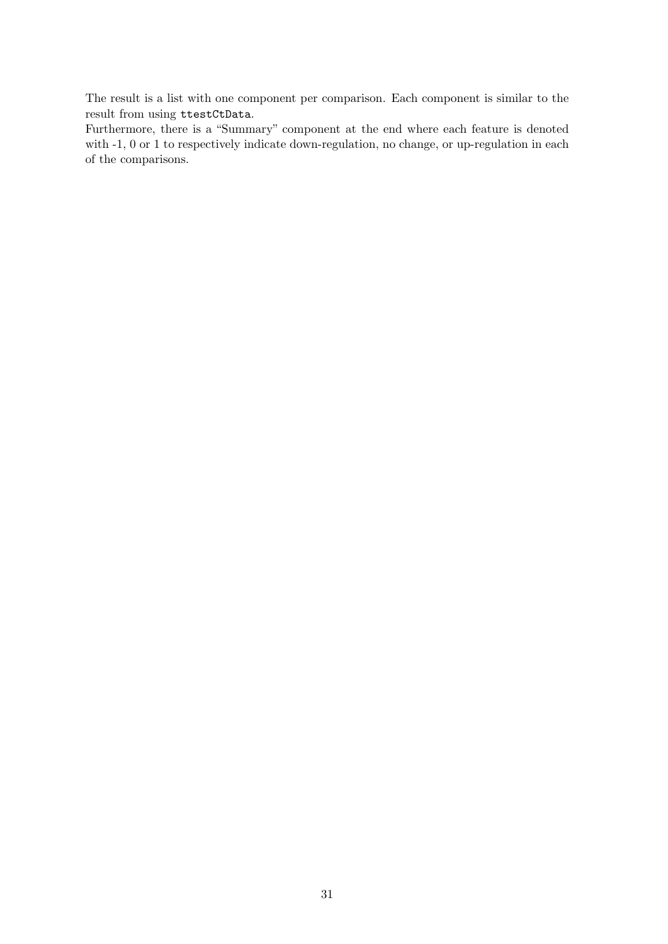The result is a list with one component per comparison. Each component is similar to the result from using ttestCtData.

Furthermore, there is a "Summary" component at the end where each feature is denoted with  $-1$ , 0 or 1 to respectively indicate down-regulation, no change, or up-regulation in each of the comparisons.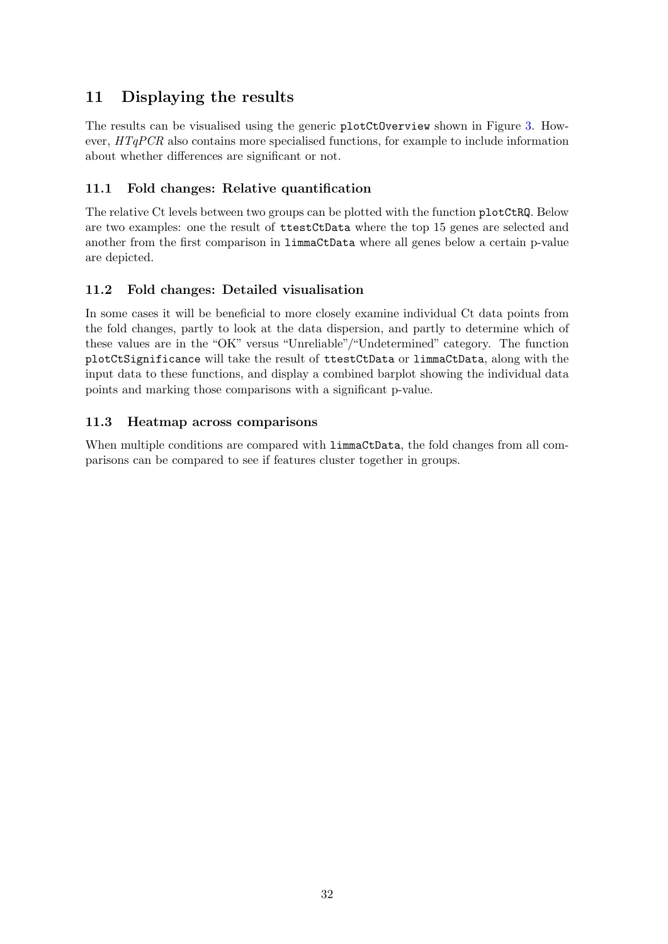## 11 Displaying the results

The results can be visualised using the generic plotCtOverview shown in Figure [3.](#page-7-0) However,  $HTqPCR$  also contains more specialised functions, for example to include information about whether differences are significant or not.

## 11.1 Fold changes: Relative quantification

The relative Ct levels between two groups can be plotted with the function plotCtRQ. Below are two examples: one the result of ttestCtData where the top 15 genes are selected and another from the first comparison in limmaCtData where all genes below a certain p-value are depicted.

## 11.2 Fold changes: Detailed visualisation

In some cases it will be beneficial to more closely examine individual Ct data points from the fold changes, partly to look at the data dispersion, and partly to determine which of these values are in the "OK" versus "Unreliable"/"Undetermined" category. The function plotCtSignificance will take the result of ttestCtData or limmaCtData, along with the input data to these functions, and display a combined barplot showing the individual data points and marking those comparisons with a significant p-value.

## 11.3 Heatmap across comparisons

When multiple conditions are compared with  $\lim_{n \to \infty}$  act Data, the fold changes from all comparisons can be compared to see if features cluster together in groups.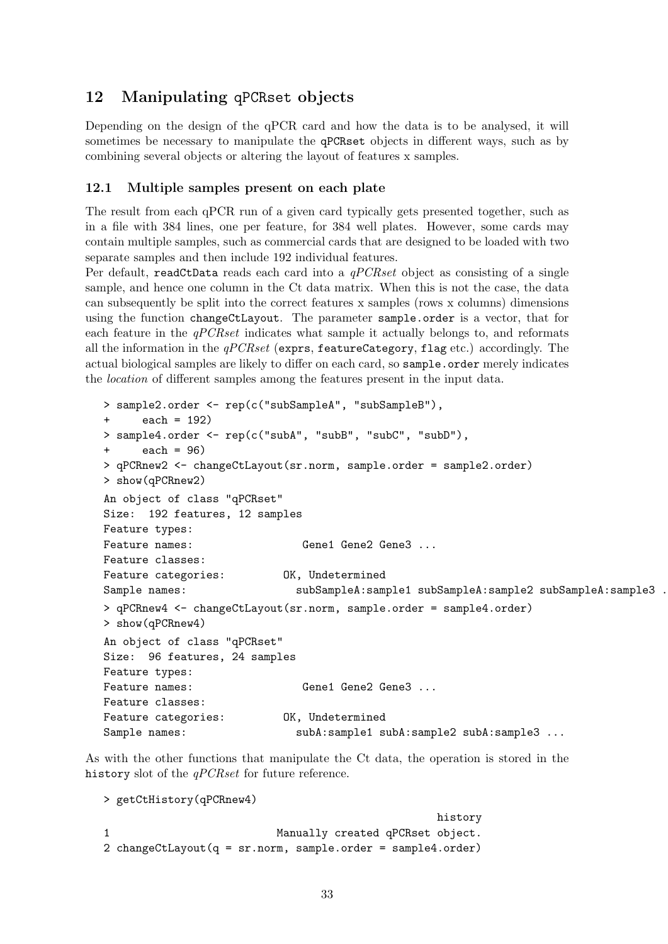## <span id="page-32-0"></span>12 Manipulating qPCRset objects

Depending on the design of the qPCR card and how the data is to be analysed, it will sometimes be necessary to manipulate the qPCRset objects in different ways, such as by combining several objects or altering the layout of features x samples.

#### 12.1 Multiple samples present on each plate

The result from each qPCR run of a given card typically gets presented together, such as in a file with 384 lines, one per feature, for 384 well plates. However, some cards may contain multiple samples, such as commercial cards that are designed to be loaded with two separate samples and then include 192 individual features.

Per default, readCtData reads each card into a  $qPCRset$  object as consisting of a single sample, and hence one column in the Ct data matrix. When this is not the case, the data can subsequently be split into the correct features x samples (rows x columns) dimensions using the function changeCtLayout. The parameter sample.order is a vector, that for each feature in the  $qPCRset$  indicates what sample it actually belongs to, and reformats all the information in the  $qPCRset$  (exprs, featureCategory, flag etc.) accordingly. The actual biological samples are likely to differ on each card, so sample.order merely indicates the location of different samples among the features present in the input data.

```
> sample2.order <- rep(c("subSampleA", "subSampleB"),
+ each = 192)
> sample4.order <- rep(c("subA", "subB", "subC", "subD"),
+ each = 96)
> qPCRnew2 <- changeCtLayout(sr.norm, sample.order = sample2.order)
> show(qPCRnew2)
An object of class "qPCRset"
Size: 192 features, 12 samples
Feature types:
Feature names: Gene1 Gene2 Gene3 ...
Feature classes:
Feature categories: 0K, Undetermined
Sample names: subSampleA:sample1 subSampleA:sample2 subSampleA:sample3 .
> qPCRnew4 <- changeCtLayout(sr.norm, sample.order = sample4.order)
> show(qPCRnew4)
An object of class "qPCRset"
Size: 96 features, 24 samples
Feature types:
Feature names: Gene1 Gene2 Gene3 ...
Feature classes:
Feature categories: 0K, Undetermined
Sample names: subA:sample1 subA:sample2 subA:sample2 subA:sample3 ...
```
As with the other functions that manipulate the Ct data, the operation is stored in the history slot of the *qPCRset* for future reference.

```
> getCtHistory(qPCRnew4)
                                            history
1 Manually created qPCRset object.
2 changeCtLayout(q = sr.norm, sample.order = sample4.order)
```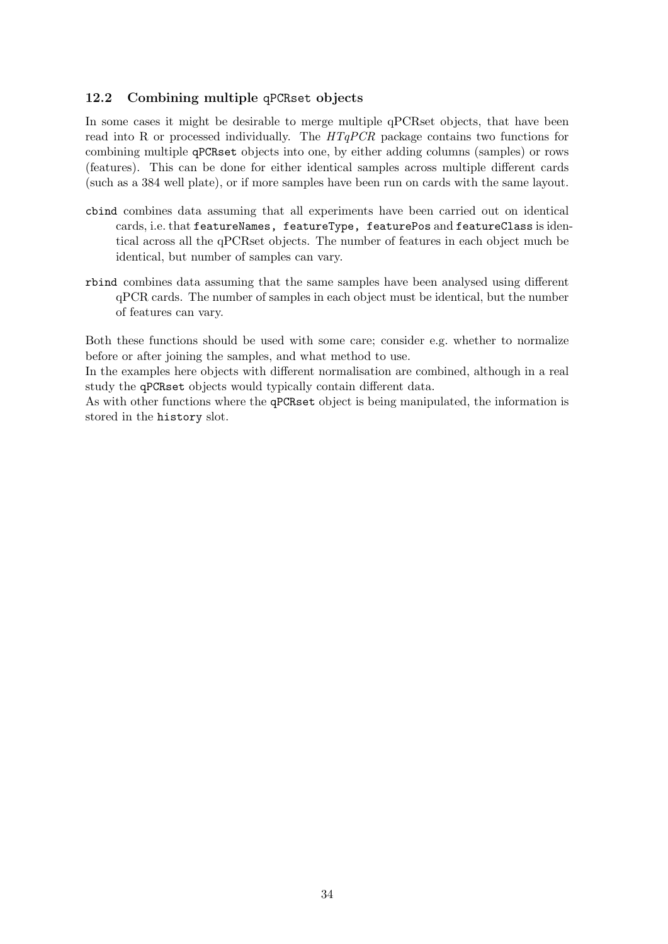### 12.2 Combining multiple qPCRset objects

In some cases it might be desirable to merge multiple qPCRset objects, that have been read into R or processed individually. The  $HTqPCR$  package contains two functions for combining multiple qPCRset objects into one, by either adding columns (samples) or rows (features). This can be done for either identical samples across multiple different cards (such as a 384 well plate), or if more samples have been run on cards with the same layout.

- cbind combines data assuming that all experiments have been carried out on identical cards, i.e. that featureNames, featureType, featurePos and featureClass is identical across all the qPCRset objects. The number of features in each object much be identical, but number of samples can vary.
- rbind combines data assuming that the same samples have been analysed using different qPCR cards. The number of samples in each object must be identical, but the number of features can vary.

Both these functions should be used with some care; consider e.g. whether to normalize before or after joining the samples, and what method to use.

In the examples here objects with different normalisation are combined, although in a real study the qPCRset objects would typically contain different data.

As with other functions where the qPCRset object is being manipulated, the information is stored in the history slot.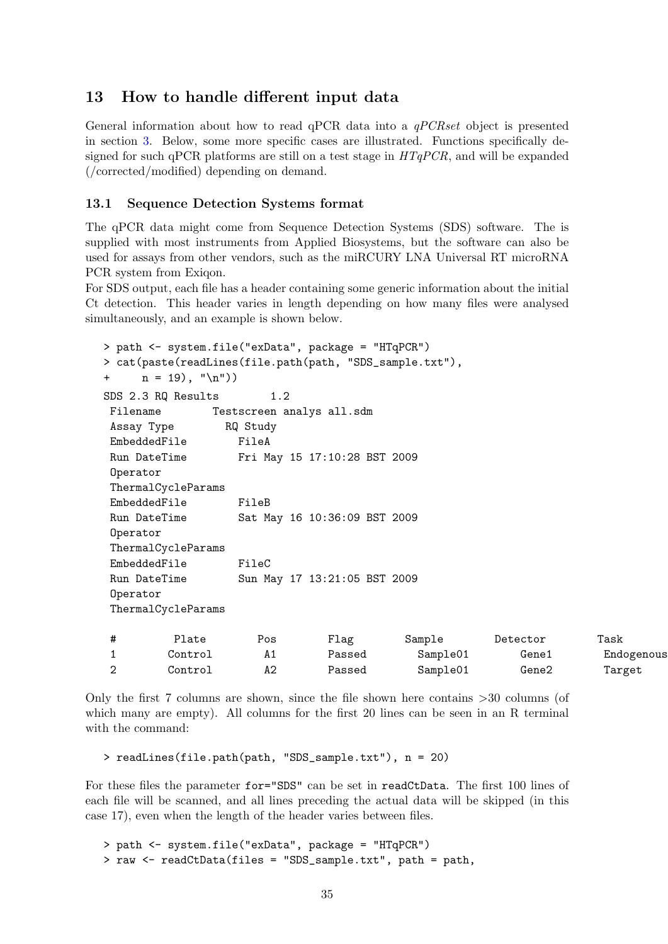## <span id="page-34-0"></span>13 How to handle different input data

General information about how to read qPCR data into a  $qPCRset$  object is presented in section [3.](#page-5-0) Below, some more specific cases are illustrated. Functions specifically designed for such qPCR platforms are still on a test stage in  $HTqPCR$ , and will be expanded (/corrected/modified) depending on demand.

#### 13.1 Sequence Detection Systems format

The qPCR data might come from Sequence Detection Systems (SDS) software. The is supplied with most instruments from Applied Biosystems, but the software can also be used for assays from other vendors, such as the miRCURY LNA Universal RT microRNA PCR system from Exiqon.

For SDS output, each file has a header containing some generic information about the initial Ct detection. This header varies in length depending on how many files were analysed simultaneously, and an example is shown below.

```
> path <- system.file("exData", package = "HTqPCR")
> cat(paste(readLines(file.path(path, "SDS_sample.txt"),
+ n = 19, "n")
SDS 2.3 RQ Results 1.2
Filename Testscreen analys all.sdm
Assay Type RQ Study
EmbeddedFile FileA
Run DateTime Fri May 15 17:10:28 BST 2009
Operator
ThermalCycleParams
EmbeddedFile FileB
Run DateTime Sat May 16 10:36:09 BST 2009
Operator
ThermalCycleParams
EmbeddedFile FileC
Run DateTime Sun May 17 13:21:05 BST 2009
Operator
ThermalCycleParams
# Plate Pos Flag Sample Detector Task
1 Control A1 Passed Sample01 Gene1 Endogenous
2 Control A2 Passed Sample01 Gene2 Target
```
Only the first 7 columns are shown, since the file shown here contains >30 columns (of which many are empty). All columns for the first 20 lines can be seen in an R terminal with the command:

> readLines(file.path(path, "SDS\_sample.txt"), n = 20)

For these files the parameter for="SDS" can be set in readCtData. The first 100 lines of each file will be scanned, and all lines preceding the actual data will be skipped (in this case 17), even when the length of the header varies between files.

> path <- system.file("exData", package = "HTqPCR") > raw <- readCtData(files = "SDS\_sample.txt", path = path,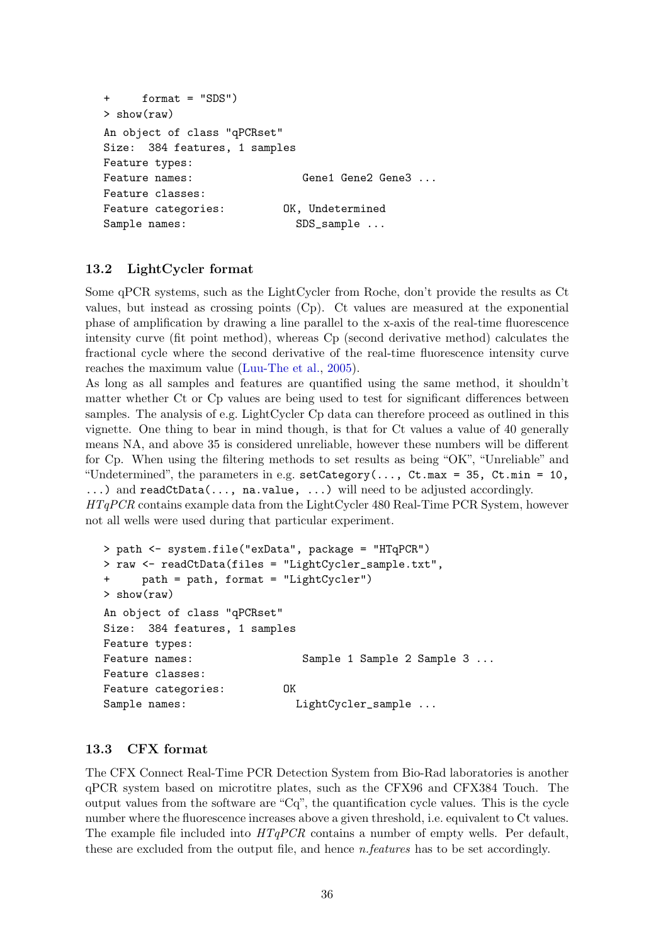```
+ format = "SDS")
> show(raw)
An object of class "qPCRset"
Size: 384 features, 1 samples
Feature types:
Feature names: Gene1 Gene2 Gene3 ...
Feature classes:
Feature categories: 0K, Undetermined
Sample names: SDS_sample ...
```
#### 13.2 LightCycler format

Some qPCR systems, such as the LightCycler from Roche, don't provide the results as Ct values, but instead as crossing points (Cp). Ct values are measured at the exponential phase of amplification by drawing a line parallel to the x-axis of the real-time fluorescence intensity curve (fit point method), whereas Cp (second derivative method) calculates the fractional cycle where the second derivative of the real-time fluorescence intensity curve reaches the maximum value [\(Luu-The et al.,](#page-40-3) [2005\)](#page-40-3).

As long as all samples and features are quantified using the same method, it shouldn't matter whether Ct or Cp values are being used to test for significant differences between samples. The analysis of e.g. LightCycler Cp data can therefore proceed as outlined in this vignette. One thing to bear in mind though, is that for Ct values a value of 40 generally means NA, and above 35 is considered unreliable, however these numbers will be different for Cp. When using the filtering methods to set results as being "OK", "Unreliable" and "Undetermined", the parameters in e.g.  $setCategory(..., Ct.max = 35, Ct.min = 10,$ 

...) and readCtData(..., na.value, ...) will need to be adjusted accordingly. HTqPCR contains example data from the LightCycler 480 Real-Time PCR System, however not all wells were used during that particular experiment.

```
> path <- system.file("exData", package = "HTqPCR")
> raw <- readCtData(files = "LightCycler_sample.txt",
+ path = path, format = "LightCycler")
> show(raw)
An object of class "qPCRset"
Size: 384 features, 1 samples
Feature types:
Feature names: Sample 1 Sample 2 Sample 3 ...
Feature classes:
Feature categories: OK
Sample names: LightCycler_sample ...
```
#### 13.3 CFX format

The CFX Connect Real-Time PCR Detection System from Bio-Rad laboratories is another qPCR system based on microtitre plates, such as the CFX96 and CFX384 Touch. The output values from the software are "Cq", the quantification cycle values. This is the cycle number where the fluorescence increases above a given threshold, i.e. equivalent to Ct values. The example file included into  $HTqPCR$  contains a number of empty wells. Per default, these are excluded from the output file, and hence n.features has to be set accordingly.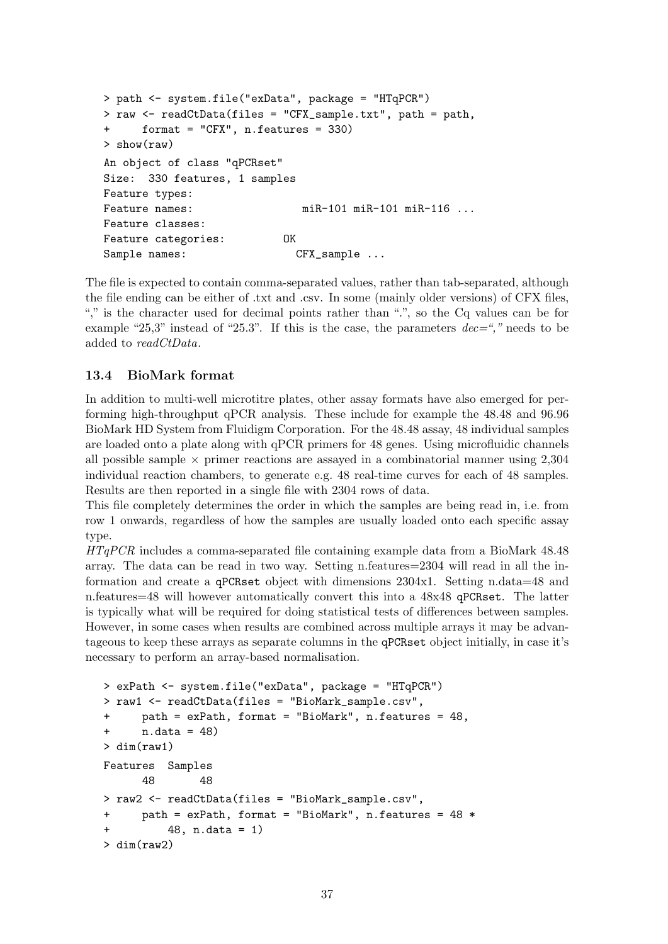```
> path <- system.file("exData", package = "HTqPCR")
> raw <- readCtData(files = "CFX_sample.txt", path = path,
+ format = "CFX", n.features = 330)
> show(raw)
An object of class "qPCRset"
Size: 330 features, 1 samples
Feature types:
Feature names: miR-101 miR-101 miR-116 ...
Feature classes:
Feature categories: OK
Sample names: CFX_sample ...
```
The file is expected to contain comma-separated values, rather than tab-separated, although the file ending can be either of .txt and .csv. In some (mainly older versions) of CFX files, "," is the character used for decimal points rather than ".", so the Cq values can be for example "25,3" instead of "25.3". If this is the case, the parameters  $dec=$ "," needs to be added to readCtData.

#### 13.4 BioMark format

In addition to multi-well microtitre plates, other assay formats have also emerged for performing high-throughput qPCR analysis. These include for example the 48.48 and 96.96 BioMark HD System from Fluidigm Corporation. For the 48.48 assay, 48 individual samples are loaded onto a plate along with qPCR primers for 48 genes. Using microfluidic channels all possible sample  $\times$  primer reactions are assayed in a combinatorial manner using 2,304 individual reaction chambers, to generate e.g. 48 real-time curves for each of 48 samples. Results are then reported in a single file with 2304 rows of data.

This file completely determines the order in which the samples are being read in, i.e. from row 1 onwards, regardless of how the samples are usually loaded onto each specific assay type.

HTqPCR includes a comma-separated file containing example data from a BioMark 48.48 array. The data can be read in two way. Setting n.features=2304 will read in all the information and create a qPCRset object with dimensions 2304x1. Setting n.data=48 and n.features=48 will however automatically convert this into a 48x48 qPCRset. The latter is typically what will be required for doing statistical tests of differences between samples. However, in some cases when results are combined across multiple arrays it may be advantageous to keep these arrays as separate columns in the qPCRset object initially, in case it's necessary to perform an array-based normalisation.

```
> exPath <- system.file("exData", package = "HTqPCR")
> raw1 <- readCtData(files = "BioMark_sample.csv",
     path = exPath, format = "BioMark", n.features = 48,n.data = 48)> dim(raw1)
Features Samples
      48 48
> raw2 <- readCtData(files = "BioMark_sample.csv",
+ path = exPath, format = "BioMark", n.features = 48 *
         48. n.data = 1)> dim(raw2)
```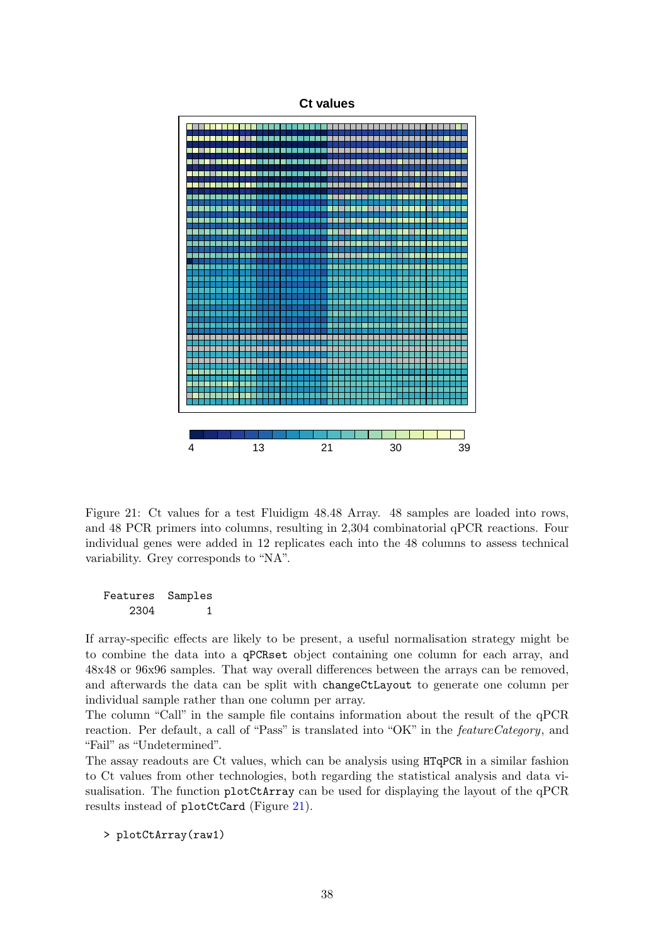

<span id="page-37-0"></span>Figure 21: Ct values for a test Fluidigm 48.48 Array. 48 samples are loaded into rows, and 48 PCR primers into columns, resulting in 2,304 combinatorial qPCR reactions. Four individual genes were added in 12 replicates each into the 48 columns to assess technical variability. Grey corresponds to "NA".

Features Samples 2304 1

If array-specific effects are likely to be present, a useful normalisation strategy might be to combine the data into a qPCRset object containing one column for each array, and 48x48 or 96x96 samples. That way overall differences between the arrays can be removed, and afterwards the data can be split with changeCtLayout to generate one column per individual sample rather than one column per array.

The column "Call" in the sample file contains information about the result of the qPCR reaction. Per default, a call of "Pass" is translated into "OK" in the featureCategory, and "Fail" as "Undetermined".

The assay readouts are Ct values, which can be analysis using HTqPCR in a similar fashion to Ct values from other technologies, both regarding the statistical analysis and data visualisation. The function plotCtArray can be used for displaying the layout of the qPCR results instead of plotCtCard (Figure [21\)](#page-37-0).

> plotCtArray(raw1)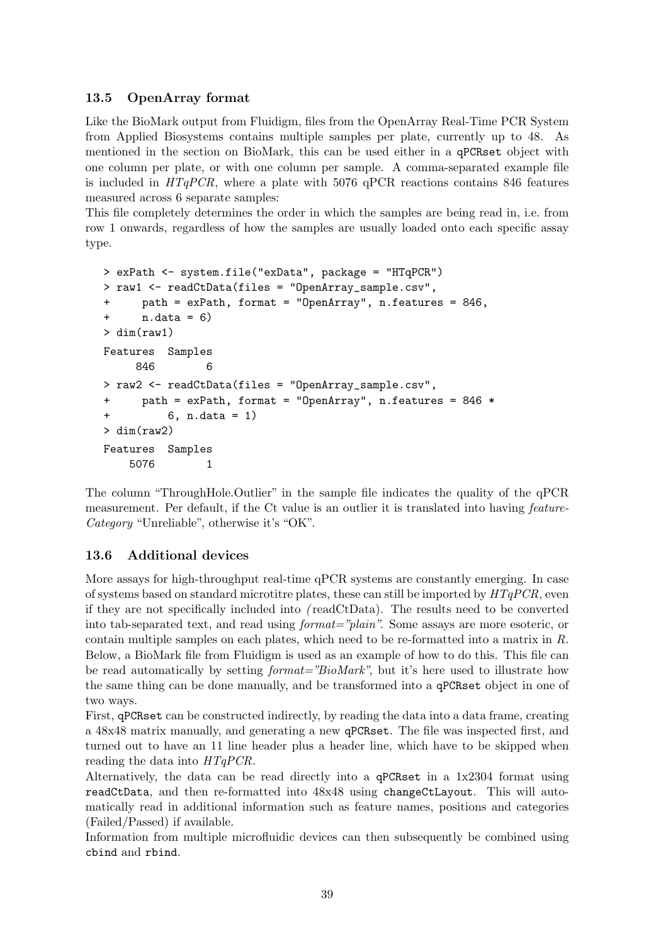### 13.5 OpenArray format

Like the BioMark output from Fluidigm, files from the OpenArray Real-Time PCR System from Applied Biosystems contains multiple samples per plate, currently up to 48. As mentioned in the section on BioMark, this can be used either in a qPCRset object with one column per plate, or with one column per sample. A comma-separated example file is included in  $HTqPCR$ , where a plate with 5076 qPCR reactions contains 846 features measured across 6 separate samples:

This file completely determines the order in which the samples are being read in, i.e. from row 1 onwards, regardless of how the samples are usually loaded onto each specific assay type.

```
> exPath <- system.file("exData", package = "HTqPCR")
> raw1 <- readCtData(files = "OpenArray_sample.csv",
+ path = exPath, format = "OpenArray", n.features = 846,
+ n.data = 6)
> dim(raw1)
Features Samples
    846 6
> raw2 <- readCtData(files = "OpenArray_sample.csv",
+ path = exPath, format = "OpenArray", n.features = 846 *
+ 6, n.data = 1)
> dim(raw2)
Features Samples
   5076 1
```
The column "ThroughHole.Outlier" in the sample file indicates the quality of the qPCR measurement. Per default, if the Ct value is an outlier it is translated into having *feature*-Category "Unreliable", otherwise it's "OK".

### 13.6 Additional devices

More assays for high-throughput real-time qPCR systems are constantly emerging. In case of systems based on standard microtitre plates, these can still be imported by  $HTqPCR$ , even if they are not specifically included into ( readCtData). The results need to be converted into tab-separated text, and read using *format="plain"*. Some assays are more esoteric, or contain multiple samples on each plates, which need to be re-formatted into a matrix in R. Below, a BioMark file from Fluidigm is used as an example of how to do this. This file can be read automatically by setting format="BioMark", but it's here used to illustrate how the same thing can be done manually, and be transformed into a qPCRset object in one of two ways.

First, qPCRset can be constructed indirectly, by reading the data into a data frame, creating a 48x48 matrix manually, and generating a new qPCRset. The file was inspected first, and turned out to have an 11 line header plus a header line, which have to be skipped when reading the data into HTqPCR.

Alternatively, the data can be read directly into a qPCRset in a 1x2304 format using readCtData, and then re-formatted into 48x48 using changeCtLayout. This will automatically read in additional information such as feature names, positions and categories (Failed/Passed) if available.

Information from multiple microfluidic devices can then subsequently be combined using cbind and rbind.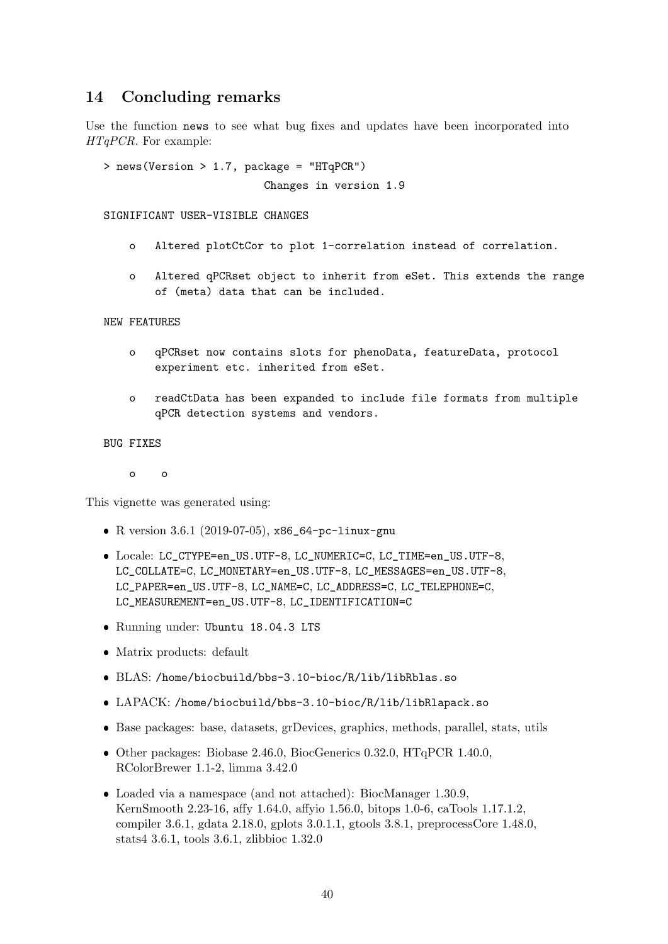## 14 Concluding remarks

Use the function news to see what bug fixes and updates have been incorporated into HTqPCR. For example:

> news(Version > 1.7, package = "HTqPCR")

Changes in version 1.9

SIGNIFICANT USER-VISIBLE CHANGES

- o Altered plotCtCor to plot 1-correlation instead of correlation.
- o Altered qPCRset object to inherit from eSet. This extends the range of (meta) data that can be included.

NEW FEATURES

- o qPCRset now contains slots for phenoData, featureData, protocol experiment etc. inherited from eSet.
- o readCtData has been expanded to include file formats from multiple qPCR detection systems and vendors.

BUG FIXES

o o

This vignette was generated using:

- R version 3.6.1 (2019-07-05), x86\_64-pc-linux-gnu
- Locale: LC\_CTYPE=en\_US.UTF-8, LC\_NUMERIC=C, LC\_TIME=en\_US.UTF-8, LC\_COLLATE=C, LC\_MONETARY=en\_US.UTF-8, LC\_MESSAGES=en\_US.UTF-8, LC\_PAPER=en\_US.UTF-8, LC\_NAME=C, LC\_ADDRESS=C, LC\_TELEPHONE=C, LC\_MEASUREMENT=en\_US.UTF-8, LC\_IDENTIFICATION=C
- Running under: Ubuntu 18.04.3 LTS
- Matrix products: default
- BLAS: /home/biocbuild/bbs-3.10-bioc/R/lib/libRblas.so
- LAPACK: /home/biocbuild/bbs-3.10-bioc/R/lib/libRlapack.so
- Base packages: base, datasets, grDevices, graphics, methods, parallel, stats, utils
- Other packages: Biobase 2.46.0, BiocGenerics 0.32.0, HTqPCR 1.40.0, RColorBrewer 1.1-2, limma 3.42.0
- Loaded via a namespace (and not attached): BiocManager 1.30.9, KernSmooth 2.23-16, affy 1.64.0, affyio 1.56.0, bitops 1.0-6, caTools 1.17.1.2, compiler 3.6.1, gdata 2.18.0, gplots 3.0.1.1, gtools 3.8.1, preprocessCore 1.48.0, stats4 3.6.1, tools 3.6.1, zlibbioc 1.32.0